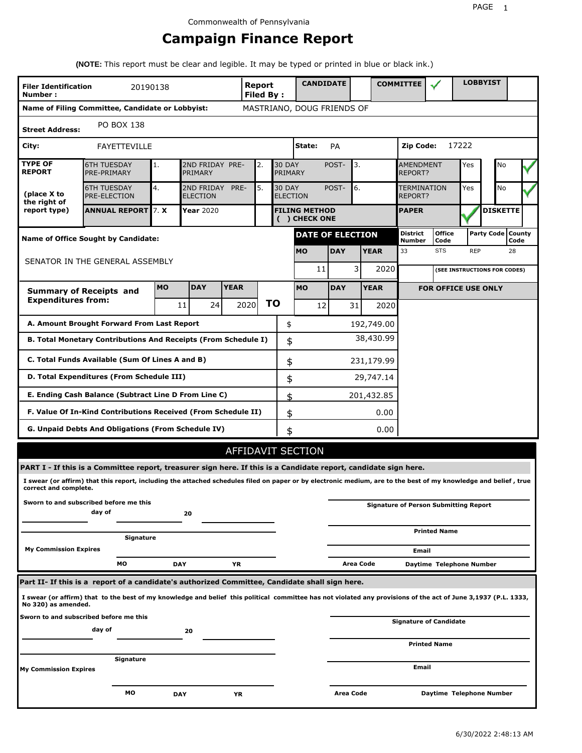# **Campaign Finance Report**

**(NOTE:** This report must be clear and legible. It may be typed or printed in blue or black ink.)

| <b>Filer Identification</b><br>Number: |                                                                                                                                                                 | 20190138   |                                    |             | Report<br><b>Filed By:</b> |                                  | <b>CANDIDATE</b>                      |            |             | <b>COMMITTEE</b>                 |                                              |            | <b>LOBBYIST</b>              |                             |
|----------------------------------------|-----------------------------------------------------------------------------------------------------------------------------------------------------------------|------------|------------------------------------|-------------|----------------------------|----------------------------------|---------------------------------------|------------|-------------|----------------------------------|----------------------------------------------|------------|------------------------------|-----------------------------|
|                                        | Name of Filing Committee, Candidate or Lobbyist:                                                                                                                |            |                                    |             |                            |                                  | MASTRIANO, DOUG FRIENDS OF            |            |             |                                  |                                              |            |                              |                             |
| <b>Street Address:</b>                 | PO BOX 138                                                                                                                                                      |            |                                    |             |                            |                                  |                                       |            |             |                                  |                                              |            |                              |                             |
| City:                                  | FAYETTEVILLE                                                                                                                                                    |            |                                    |             |                            |                                  | State:                                | <b>PA</b>  |             | <b>Zip Code:</b>                 |                                              | 17222      |                              |                             |
| <b>TYPE OF</b><br><b>REPORT</b>        | <b>6TH TUESDAY</b><br>PRE-PRIMARY                                                                                                                               | 1.         | 2ND FRIDAY PRE-<br>PRIMARY         |             | 2.                         | <b>30 DAY</b><br>PRIMARY         |                                       | POST-      | 3.          | AMENDMENT<br>REPORT?             |                                              | Yes        | No                           |                             |
| (place X to<br>the right of            | <b>6TH TUESDAY</b><br>PRE-ELECTION                                                                                                                              | 4.         | 2ND FRIDAY PRE-<br><b>ELECTION</b> |             | 5.                         | <b>30 DAY</b><br><b>ELECTION</b> |                                       | POST-      | 6.          | TERMINATION<br>REPORT?           |                                              | Yes        | No                           |                             |
| report type)                           | <b>ANNUAL REPORT 7. X</b>                                                                                                                                       |            | Year 2020                          |             |                            |                                  | <b>FILING METHOD</b><br>( ) CHECK ONE |            |             | <b>PAPER</b>                     |                                              |            | <b>DISKETTE</b>              |                             |
|                                        | <b>Name of Office Sought by Candidate:</b>                                                                                                                      |            |                                    |             |                            |                                  | <b>DATE OF ELECTION</b>               |            |             | <b>District</b><br><b>Number</b> | <b>Office</b><br>Code                        |            |                              | Party Code   County<br>Code |
|                                        |                                                                                                                                                                 |            |                                    |             |                            |                                  | <b>MO</b>                             | <b>DAY</b> | <b>YEAR</b> | 33                               | <b>STS</b>                                   | <b>REP</b> |                              | 28                          |
|                                        | SENATOR IN THE GENERAL ASSEMBLY                                                                                                                                 |            |                                    |             |                            |                                  | 11                                    |            | 3<br>2020   |                                  |                                              |            | (SEE INSTRUCTIONS FOR CODES) |                             |
|                                        | <b>Summary of Receipts and</b>                                                                                                                                  | <b>MO</b>  | <b>DAY</b>                         | <b>YEAR</b> |                            |                                  | <b>MO</b>                             | <b>DAY</b> | <b>YEAR</b> |                                  | <b>FOR OFFICE USE ONLY</b>                   |            |                              |                             |
| <b>Expenditures from:</b>              |                                                                                                                                                                 |            | 24<br>11                           |             | <b>TO</b><br>2020          |                                  | 12                                    | 31         | 2020        |                                  |                                              |            |                              |                             |
|                                        | A. Amount Brought Forward From Last Report                                                                                                                      |            |                                    |             |                            | \$                               |                                       |            | 192,749.00  |                                  |                                              |            |                              |                             |
|                                        | B. Total Monetary Contributions And Receipts (From Schedule I)                                                                                                  |            |                                    |             |                            | \$                               |                                       |            | 38,430.99   |                                  |                                              |            |                              |                             |
|                                        | C. Total Funds Available (Sum Of Lines A and B)                                                                                                                 |            |                                    |             |                            | \$                               |                                       |            | 231,179.99  |                                  |                                              |            |                              |                             |
|                                        | D. Total Expenditures (From Schedule III)                                                                                                                       |            |                                    |             |                            | \$                               |                                       |            | 29,747.14   |                                  |                                              |            |                              |                             |
|                                        | E. Ending Cash Balance (Subtract Line D From Line C)                                                                                                            |            |                                    |             |                            | \$                               |                                       |            | 201,432.85  |                                  |                                              |            |                              |                             |
|                                        | F. Value Of In-Kind Contributions Received (From Schedule II)                                                                                                   |            |                                    |             |                            | \$                               |                                       |            | 0.00        |                                  |                                              |            |                              |                             |
|                                        | G. Unpaid Debts And Obligations (From Schedule IV)                                                                                                              |            |                                    |             |                            | \$                               |                                       |            | 0.00        |                                  |                                              |            |                              |                             |
|                                        |                                                                                                                                                                 |            |                                    |             |                            |                                  | AFFIDAVIT SECTION                     |            |             |                                  |                                              |            |                              |                             |
|                                        | PART I - If this is a Committee report, treasurer sign here. If this is a Candidate report, candidate sign here.                                                |            |                                    |             |                            |                                  |                                       |            |             |                                  |                                              |            |                              |                             |
| correct and complete.                  | I swear (or affirm) that this report, including the attached schedules filed on paper or by electronic medium, are to the best of my knowledge and belief, true |            |                                    |             |                            |                                  |                                       |            |             |                                  |                                              |            |                              |                             |
|                                        | Sworn to and subscribed before me this<br>day of                                                                                                                |            | 20                                 |             |                            |                                  |                                       |            |             |                                  | <b>Signature of Person Submitting Report</b> |            |                              |                             |
|                                        | Signature                                                                                                                                                       |            |                                    |             |                            |                                  |                                       |            |             |                                  | <b>Printed Name</b>                          |            |                              |                             |
| <b>My Commission Expires</b>           |                                                                                                                                                                 |            |                                    |             |                            |                                  |                                       |            |             | Email                            |                                              |            |                              |                             |
|                                        | MО                                                                                                                                                              | <b>DAY</b> |                                    | YR          |                            |                                  |                                       |            | Area Code   |                                  | Daytime Telephone Number                     |            |                              |                             |
|                                        | Part II- If this is a report of a candidate's authorized Committee, Candidate shall sign here.                                                                  |            |                                    |             |                            |                                  |                                       |            |             |                                  |                                              |            |                              |                             |
| No 320) as amended.                    | I swear (or affirm) that to the best of my knowledge and belief this political committee has not violated any provisions of the act of June 3,1937 (P.L. 1333,  |            |                                    |             |                            |                                  |                                       |            |             |                                  |                                              |            |                              |                             |
|                                        | Sworn to and subscribed before me this<br>day of                                                                                                                |            | 20                                 |             |                            |                                  |                                       |            |             |                                  | <b>Signature of Candidate</b>                |            |                              |                             |
|                                        |                                                                                                                                                                 |            |                                    |             |                            |                                  |                                       |            |             |                                  | <b>Printed Name</b>                          |            |                              |                             |
| <b>My Commission Expires</b>           | Signature                                                                                                                                                       |            |                                    |             |                            |                                  |                                       |            |             | Email                            |                                              |            |                              |                             |
|                                        | МO                                                                                                                                                              | DAY        |                                    | ΥR          |                            |                                  |                                       | Area Code  |             |                                  | Daytime Telephone Number                     |            |                              |                             |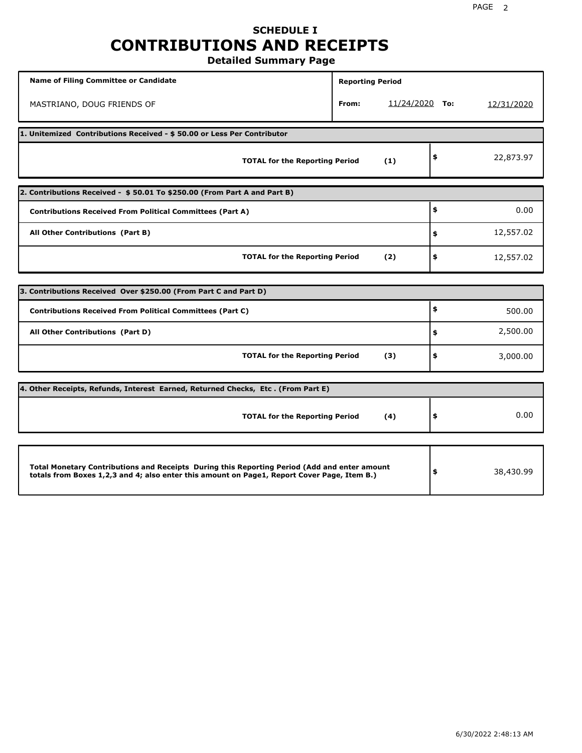# **SCHEDULE I CONTRIBUTIONS AND RECEIPTS**

**Detailed Summary Page**

| <b>Name of Filing Committee or Candidate</b>                                                                                                                                                | <b>Reporting Period</b> |                  |                 |
|---------------------------------------------------------------------------------------------------------------------------------------------------------------------------------------------|-------------------------|------------------|-----------------|
| MASTRIANO, DOUG FRIENDS OF                                                                                                                                                                  | From:                   | $11/24/2020$ To: | 12/31/2020      |
| 1. Unitemized Contributions Received - \$50.00 or Less Per Contributor                                                                                                                      |                         |                  |                 |
| <b>TOTAL for the Reporting Period</b>                                                                                                                                                       |                         | (1)              | \$<br>22,873.97 |
| 2. Contributions Received - \$50.01 To \$250.00 (From Part A and Part B)                                                                                                                    |                         |                  |                 |
| <b>Contributions Received From Political Committees (Part A)</b>                                                                                                                            |                         |                  | \$<br>0.00      |
| All Other Contributions (Part B)                                                                                                                                                            |                         |                  | \$<br>12,557.02 |
| <b>TOTAL for the Reporting Period</b>                                                                                                                                                       |                         | (2)              | \$<br>12,557.02 |
| 3. Contributions Received Over \$250.00 (From Part C and Part D)                                                                                                                            |                         |                  |                 |
|                                                                                                                                                                                             |                         |                  | \$              |
| <b>Contributions Received From Political Committees (Part C)</b>                                                                                                                            |                         |                  | 500.00          |
| All Other Contributions (Part D)                                                                                                                                                            |                         |                  | \$<br>2,500.00  |
| <b>TOTAL for the Reporting Period</b>                                                                                                                                                       |                         | (3)              | \$<br>3,000.00  |
| 4. Other Receipts, Refunds, Interest Earned, Returned Checks, Etc. (From Part E)                                                                                                            |                         |                  |                 |
| <b>TOTAL for the Reporting Period</b>                                                                                                                                                       |                         | (4)              | \$<br>0.00      |
|                                                                                                                                                                                             |                         |                  |                 |
| Total Monetary Contributions and Receipts During this Reporting Period (Add and enter amount<br>totals from Boxes 1,2,3 and 4; also enter this amount on Page1, Report Cover Page, Item B.) |                         |                  | \$<br>38,430.99 |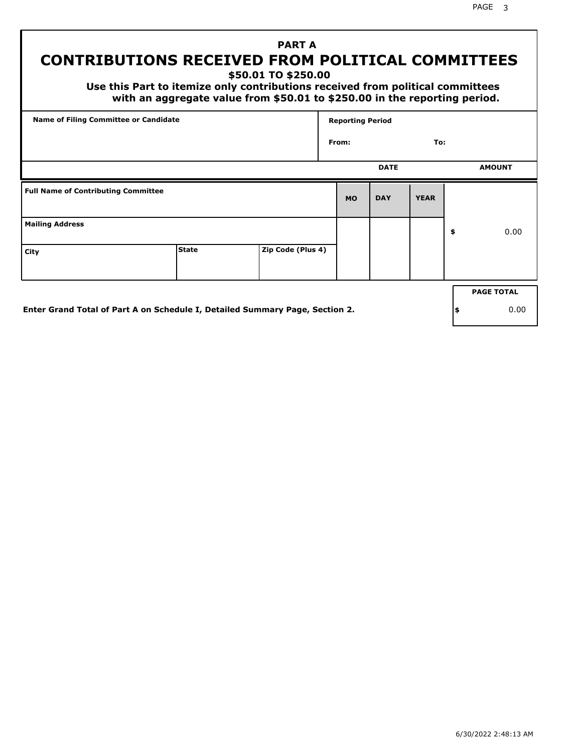## **PART A CONTRIBUTIONS RECEIVED FROM POLITICAL COMMITTEES**

**\$50.01 TO \$250.00**

 **Use this Part to itemize only contributions received from political committees with an aggregate value from \$50.01 to \$250.00 in the reporting period.**

| Name of Filing Committee or Candidate      |                                                                              |                   | <b>Reporting Period</b> |             |             |     |                   |
|--------------------------------------------|------------------------------------------------------------------------------|-------------------|-------------------------|-------------|-------------|-----|-------------------|
|                                            |                                                                              |                   | From:                   |             | To:         |     |                   |
|                                            |                                                                              |                   |                         | <b>DATE</b> |             |     | <b>AMOUNT</b>     |
| <b>Full Name of Contributing Committee</b> |                                                                              |                   | <b>MO</b>               | <b>DAY</b>  | <b>YEAR</b> |     |                   |
| <b>Mailing Address</b>                     |                                                                              |                   |                         |             |             | \$  | 0.00              |
| City                                       | <b>State</b>                                                                 | Zip Code (Plus 4) |                         |             |             |     |                   |
|                                            |                                                                              |                   |                         |             |             |     | <b>PAGE TOTAL</b> |
|                                            | Enter Grand Total of Part A on Schedule I, Detailed Summary Page, Section 2. |                   |                         |             |             | ∣\$ | 0.00              |

**Enter Grand Total of Part A on Schedule I, Detailed Summary Page, Section 2.**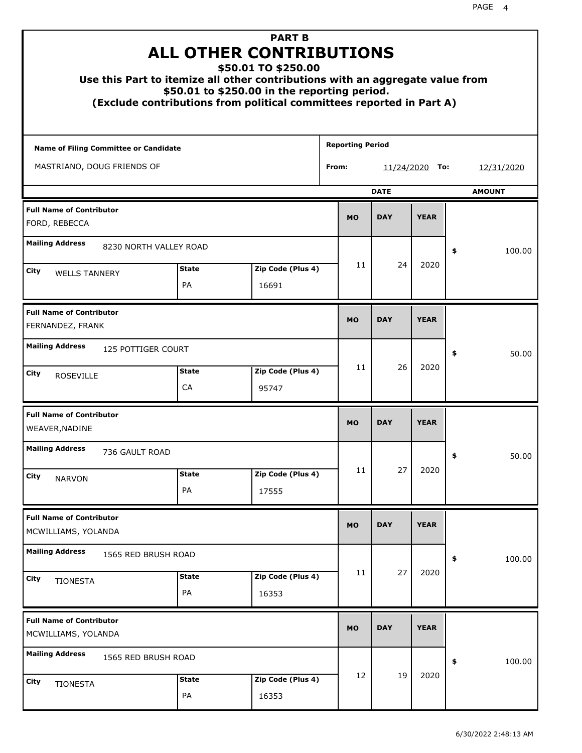|                                                        |                    | <b>PART B</b><br><b>ALL OTHER CONTRIBUTIONS</b><br>\$50.01 TO \$250.00<br>Use this Part to itemize all other contributions with an aggregate value from<br>\$50.01 to \$250.00 in the reporting period.<br>(Exclude contributions from political committees reported in Part A) |                         |             |                |               |
|--------------------------------------------------------|--------------------|---------------------------------------------------------------------------------------------------------------------------------------------------------------------------------------------------------------------------------------------------------------------------------|-------------------------|-------------|----------------|---------------|
| Name of Filing Committee or Candidate                  |                    |                                                                                                                                                                                                                                                                                 | <b>Reporting Period</b> |             |                |               |
| MASTRIANO, DOUG FRIENDS OF                             |                    |                                                                                                                                                                                                                                                                                 | From:                   |             | 11/24/2020 To: | 12/31/2020    |
|                                                        |                    |                                                                                                                                                                                                                                                                                 |                         | <b>DATE</b> |                | <b>AMOUNT</b> |
| <b>Full Name of Contributor</b><br>FORD, REBECCA       |                    |                                                                                                                                                                                                                                                                                 | <b>MO</b>               | <b>DAY</b>  | <b>YEAR</b>    |               |
| <b>Mailing Address</b><br>8230 NORTH VALLEY ROAD       |                    |                                                                                                                                                                                                                                                                                 |                         |             |                | \$<br>100.00  |
| City<br><b>WELLS TANNERY</b>                           | <b>State</b>       | Zip Code (Plus 4)                                                                                                                                                                                                                                                               | 11                      | 24          | 2020           |               |
|                                                        | PA                 | 16691                                                                                                                                                                                                                                                                           |                         |             |                |               |
| <b>Full Name of Contributor</b><br>FERNANDEZ, FRANK    |                    |                                                                                                                                                                                                                                                                                 | <b>MO</b>               | <b>DAY</b>  | <b>YEAR</b>    |               |
| <b>Mailing Address</b><br>125 POTTIGER COURT           |                    |                                                                                                                                                                                                                                                                                 |                         |             |                | \$<br>50.00   |
| City<br><b>ROSEVILLE</b>                               | <b>State</b><br>CA | Zip Code (Plus 4)<br>95747                                                                                                                                                                                                                                                      | 11                      | 26          | 2020           |               |
| <b>Full Name of Contributor</b><br>WEAVER, NADINE      |                    |                                                                                                                                                                                                                                                                                 | <b>MO</b>               | <b>DAY</b>  | <b>YEAR</b>    |               |
| <b>Mailing Address</b><br>736 GAULT ROAD               |                    |                                                                                                                                                                                                                                                                                 |                         |             |                | 50.00<br>≯    |
| <b>City</b><br><b>NARVON</b>                           | <b>State</b>       | Zip Code (Plus 4)                                                                                                                                                                                                                                                               | 11                      | 27          | 2020           |               |
|                                                        | PA                 | 17555                                                                                                                                                                                                                                                                           |                         |             |                |               |
| <b>Full Name of Contributor</b><br>MCWILLIAMS, YOLANDA |                    |                                                                                                                                                                                                                                                                                 | <b>MO</b>               | <b>DAY</b>  | <b>YEAR</b>    |               |
| <b>Mailing Address</b><br>1565 RED BRUSH ROAD          |                    |                                                                                                                                                                                                                                                                                 |                         |             |                | \$<br>100.00  |
| City<br><b>TIONESTA</b>                                | <b>State</b><br>PA | Zip Code (Plus 4)<br>16353                                                                                                                                                                                                                                                      | 11                      | 27          | 2020           |               |
| <b>Full Name of Contributor</b><br>MCWILLIAMS, YOLANDA |                    |                                                                                                                                                                                                                                                                                 | <b>MO</b>               | <b>DAY</b>  | <b>YEAR</b>    |               |
| <b>Mailing Address</b><br>1565 RED BRUSH ROAD          |                    |                                                                                                                                                                                                                                                                                 |                         |             |                | \$<br>100.00  |
| City<br><b>TIONESTA</b>                                | <b>State</b><br>PA | Zip Code (Plus 4)<br>16353                                                                                                                                                                                                                                                      | 12                      | 19          | 2020           |               |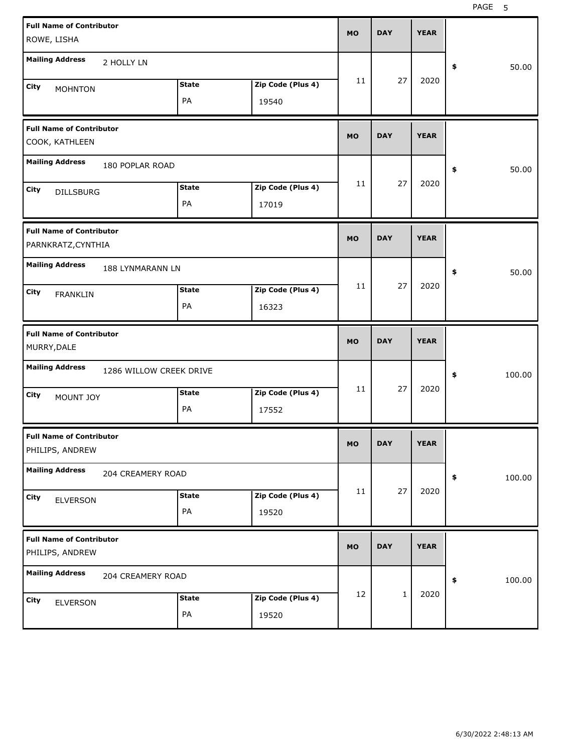| <b>Full Name of Contributor</b><br>ROWE, LISHA           |                         |                    |                            | <b>MO</b> | <b>DAY</b> | <b>YEAR</b> |              |
|----------------------------------------------------------|-------------------------|--------------------|----------------------------|-----------|------------|-------------|--------------|
| <b>Mailing Address</b>                                   | 2 HOLLY LN              |                    |                            |           |            |             | \$<br>50.00  |
| <b>City</b><br><b>MOHNTON</b>                            |                         | <b>State</b><br>PA | Zip Code (Plus 4)<br>19540 | 11        | 27         | 2020        |              |
| <b>Full Name of Contributor</b><br>COOK, KATHLEEN        |                         |                    |                            | <b>MO</b> | <b>DAY</b> | <b>YEAR</b> |              |
| <b>Mailing Address</b>                                   | 180 POPLAR ROAD         |                    |                            |           |            |             | \$<br>50.00  |
| <b>City</b><br><b>DILLSBURG</b>                          |                         | <b>State</b><br>PA | Zip Code (Plus 4)<br>17019 | 11        | 27         | 2020        |              |
| <b>Full Name of Contributor</b><br>PARNKRATZ, CYNTHIA    |                         |                    |                            | <b>MO</b> | <b>DAY</b> | <b>YEAR</b> |              |
| <b>Mailing Address</b><br><b>City</b><br><b>FRANKLIN</b> | 188 LYNMARANN LN        | <b>State</b><br>PA | Zip Code (Plus 4)<br>16323 | 11        | 27         | 2020        | \$<br>50.00  |
|                                                          |                         |                    |                            |           |            |             |              |
| <b>Full Name of Contributor</b><br>MURRY, DALE           |                         |                    |                            | <b>MO</b> | <b>DAY</b> | <b>YEAR</b> |              |
| <b>Mailing Address</b>                                   | 1286 WILLOW CREEK DRIVE |                    |                            |           |            |             | \$<br>100.00 |
| <b>City</b><br>MOUNT JOY                                 |                         | <b>State</b><br>PA | Zip Code (Plus 4)<br>17552 | 11        | 27         | 2020        |              |
| <b>Full Name of Contributor</b><br>PHILIPS, ANDREW       |                         |                    |                            | <b>MO</b> | <b>DAY</b> | <b>YEAR</b> |              |
| <b>Mailing Address</b>                                   | 204 CREAMERY ROAD       |                    |                            |           |            |             | \$<br>100.00 |
| City<br><b>ELVERSON</b>                                  |                         | <b>State</b><br>PA | Zip Code (Plus 4)<br>19520 | 11        | 27         | 2020        |              |
| <b>Full Name of Contributor</b><br>PHILIPS, ANDREW       |                         |                    |                            | <b>MO</b> | <b>DAY</b> | <b>YEAR</b> |              |
| <b>Mailing Address</b>                                   | 204 CREAMERY ROAD       |                    |                            |           |            |             | \$<br>100.00 |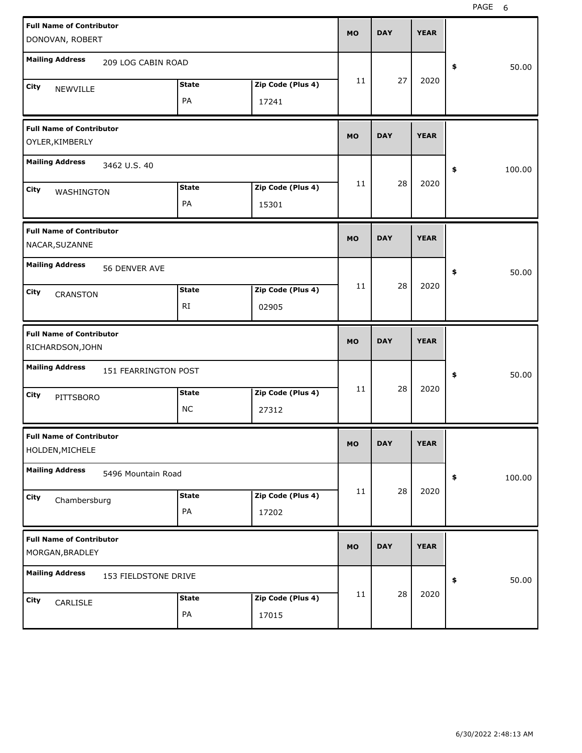| <b>Full Name of Contributor</b>                     |                      |                   | <b>MO</b> | <b>DAY</b> | <b>YEAR</b> |              |
|-----------------------------------------------------|----------------------|-------------------|-----------|------------|-------------|--------------|
| DONOVAN, ROBERT                                     |                      |                   |           |            |             |              |
| <b>Mailing Address</b>                              | 209 LOG CABIN ROAD   |                   |           |            |             | 50.00<br>\$  |
| City<br>NEWVILLE                                    | <b>State</b>         | Zip Code (Plus 4) | 11        | 27         | 2020        |              |
|                                                     | PA                   | 17241             |           |            |             |              |
| <b>Full Name of Contributor</b><br>OYLER, KIMBERLY  |                      |                   | <b>MO</b> | <b>DAY</b> | <b>YEAR</b> |              |
| <b>Mailing Address</b><br>3462 U.S. 40              |                      |                   |           |            |             | 100.00<br>\$ |
| City<br>WASHINGTON                                  | <b>State</b>         | Zip Code (Plus 4) | 11        | 28         | 2020        |              |
|                                                     | PA                   | 15301             |           |            |             |              |
| <b>Full Name of Contributor</b><br>NACAR, SUZANNE   |                      |                   | <b>MO</b> | <b>DAY</b> | <b>YEAR</b> |              |
| <b>Mailing Address</b>                              | 56 DENVER AVE        |                   |           |            |             | 50.00<br>\$  |
| City<br><b>CRANSTON</b>                             | <b>State</b>         | Zip Code (Plus 4) | 11        | 28         | 2020        |              |
|                                                     | <b>RI</b>            | 02905             |           |            |             |              |
|                                                     |                      |                   |           |            |             |              |
| <b>Full Name of Contributor</b><br>RICHARDSON, JOHN |                      |                   | <b>MO</b> | <b>DAY</b> | <b>YEAR</b> |              |
| <b>Mailing Address</b>                              | 151 FEARRINGTON POST |                   |           |            |             | 50.00<br>\$  |
| City                                                | <b>State</b>         | Zip Code (Plus 4) | 11        | 28         | 2020        |              |
| PITTSBORO                                           | <b>NC</b>            | 27312             |           |            |             |              |
| <b>Full Name of Contributor</b><br>HOLDEN, MICHELE  |                      |                   | MO        | <b>DAY</b> | <b>YEAR</b> |              |
| <b>Mailing Address</b>                              | 5496 Mountain Road   |                   |           |            |             | 100.00<br>\$ |
| City                                                | <b>State</b>         | Zip Code (Plus 4) | 11        | 28         | 2020        |              |
| Chambersburg                                        | PA                   | 17202             |           |            |             |              |
| <b>Full Name of Contributor</b><br>MORGAN, BRADLEY  |                      |                   | <b>MO</b> | <b>DAY</b> | <b>YEAR</b> |              |
| <b>Mailing Address</b>                              | 153 FIELDSTONE DRIVE |                   |           |            |             | 50.00<br>\$  |
| City<br>CARLISLE                                    | <b>State</b>         | Zip Code (Plus 4) | 11        | 28         | 2020        |              |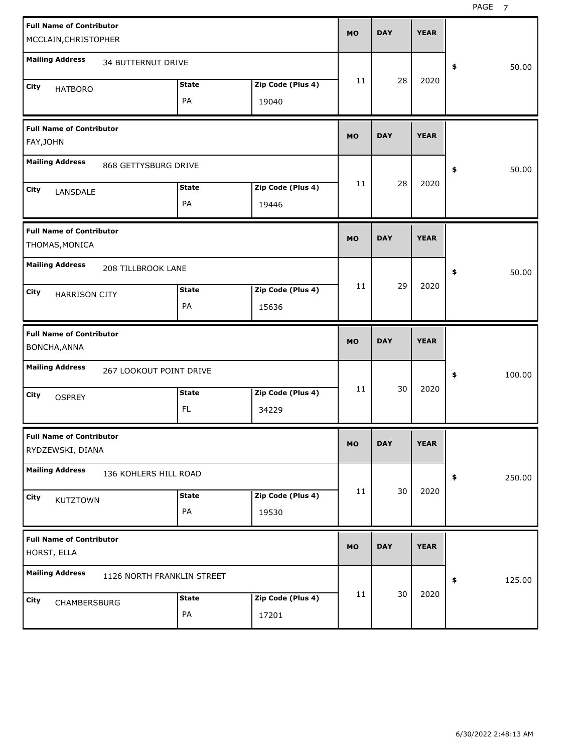| <b>Full Name of Contributor</b><br>MCCLAIN, CHRISTOPHER | <b>MO</b>                        | <b>DAY</b> | <b>YEAR</b> |              |
|---------------------------------------------------------|----------------------------------|------------|-------------|--------------|
| <b>Mailing Address</b><br>34 BUTTERNUT DRIVE            |                                  |            |             | \$<br>50.00  |
| <b>State</b><br>City<br><b>HATBORO</b><br>PA            | 11<br>Zip Code (Plus 4)<br>19040 | 28         | 2020        |              |
| <b>Full Name of Contributor</b><br>FAY, JOHN            | <b>MO</b>                        | <b>DAY</b> | <b>YEAR</b> |              |
| <b>Mailing Address</b><br>868 GETTYSBURG DRIVE          |                                  |            |             | 50.00<br>\$  |
| <b>State</b><br>City<br>LANSDALE<br>PA                  | 11<br>Zip Code (Plus 4)<br>19446 | 28         | 2020        |              |
| <b>Full Name of Contributor</b><br>THOMAS, MONICA       | <b>MO</b>                        | <b>DAY</b> | <b>YEAR</b> |              |
| <b>Mailing Address</b><br>208 TILLBROOK LANE            |                                  |            |             | 50.00<br>\$  |
| <b>State</b><br>City<br><b>HARRISON CITY</b><br>PA      | 11<br>Zip Code (Plus 4)<br>15636 | 29         | 2020        |              |
|                                                         |                                  |            |             |              |
| <b>Full Name of Contributor</b><br>BONCHA, ANNA         | <b>MO</b>                        | <b>DAY</b> | <b>YEAR</b> |              |
| <b>Mailing Address</b><br>267 LOOKOUT POINT DRIVE       |                                  |            |             | \$<br>100.00 |
| <b>State</b><br>City<br><b>OSPREY</b><br>FL             | 11<br>Zip Code (Plus 4)<br>34229 | 30         | 2020        |              |
| <b>Full Name of Contributor</b><br>RYDZEWSKI, DIANA     | MO                               | <b>DAY</b> | <b>YEAR</b> |              |
| <b>Mailing Address</b><br>136 KOHLERS HILL ROAD         |                                  |            |             | \$<br>250.00 |
| <b>State</b><br>City<br>KUTZTOWN<br>PA                  | 11<br>Zip Code (Plus 4)<br>19530 | 30         | 2020        |              |
| <b>Full Name of Contributor</b><br>HORST, ELLA          | <b>MO</b>                        | <b>DAY</b> | <b>YEAR</b> |              |
| <b>Mailing Address</b><br>1126 NORTH FRANKLIN STREET    | 11                               | 30         | 2020        | 125.00<br>\$ |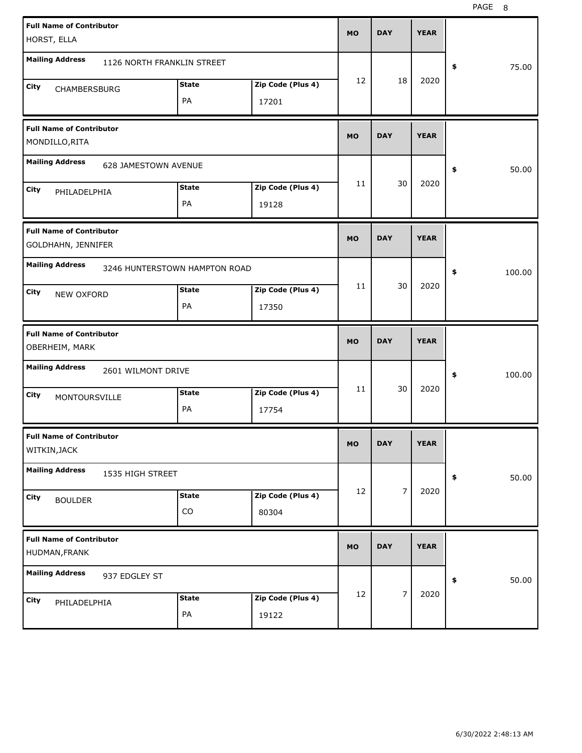| <b>Full Name of Contributor</b><br>HORST, ELLA        |                               |                            | <b>MO</b> | <b>DAY</b> | <b>YEAR</b> |              |
|-------------------------------------------------------|-------------------------------|----------------------------|-----------|------------|-------------|--------------|
| <b>Mailing Address</b><br>1126 NORTH FRANKLIN STREET  |                               |                            |           |            |             | \$<br>75.00  |
| City<br>CHAMBERSBURG                                  | <b>State</b><br>PA            | Zip Code (Plus 4)<br>17201 | 12        | 18         | 2020        |              |
| <b>Full Name of Contributor</b><br>MONDILLO, RITA     |                               |                            | <b>MO</b> | <b>DAY</b> | <b>YEAR</b> |              |
| <b>Mailing Address</b><br>628 JAMESTOWN AVENUE        |                               |                            |           |            |             | \$<br>50.00  |
| City<br>PHILADELPHIA                                  | <b>State</b><br>PA            | Zip Code (Plus 4)<br>19128 | 11        | 30         | 2020        |              |
| <b>Full Name of Contributor</b><br>GOLDHAHN, JENNIFER |                               |                            | <b>MO</b> | <b>DAY</b> | <b>YEAR</b> |              |
| <b>Mailing Address</b>                                | 3246 HUNTERSTOWN HAMPTON ROAD |                            |           |            |             | \$<br>100.00 |
| City<br>NEW OXFORD                                    | <b>State</b><br>PA            | Zip Code (Plus 4)<br>17350 | 11        | 30         | 2020        |              |
|                                                       |                               |                            |           |            |             |              |
| <b>Full Name of Contributor</b><br>OBERHEIM, MARK     |                               |                            | <b>MO</b> | <b>DAY</b> | <b>YEAR</b> |              |
| <b>Mailing Address</b><br>2601 WILMONT DRIVE          |                               |                            |           |            |             | \$<br>100.00 |
| City<br>MONTOURSVILLE                                 | <b>State</b><br>PA            | Zip Code (Plus 4)<br>17754 | 11        | 30         | 2020        |              |
| <b>Full Name of Contributor</b><br>WITKIN, JACK       |                               |                            | <b>MO</b> | <b>DAY</b> | <b>YEAR</b> |              |
| <b>Mailing Address</b><br>1535 HIGH STREET            |                               |                            |           |            |             | 50.00<br>\$  |
| City<br><b>BOULDER</b>                                | <b>State</b><br>CO            | Zip Code (Plus 4)<br>80304 | 12        | 7          | 2020        |              |
| <b>Full Name of Contributor</b><br>HUDMAN, FRANK      |                               |                            | <b>MO</b> | <b>DAY</b> | <b>YEAR</b> |              |
| <b>Mailing Address</b><br>937 EDGLEY ST               |                               |                            | 12        | 7          | 2020        | \$<br>50.00  |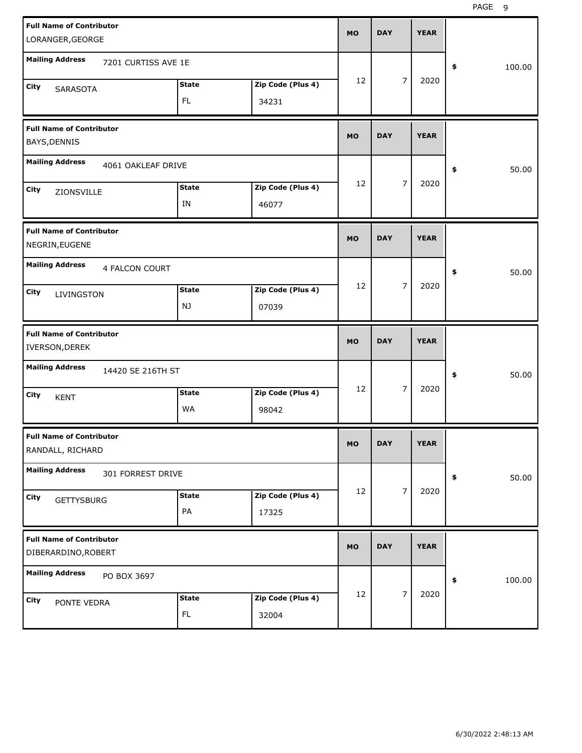| <b>Full Name of Contributor</b><br>LORANGER, GEORGE    |                     |                           |                            | <b>MO</b> | <b>DAY</b> |                | <b>YEAR</b> |              |
|--------------------------------------------------------|---------------------|---------------------------|----------------------------|-----------|------------|----------------|-------------|--------------|
| <b>Mailing Address</b>                                 | 7201 CURTISS AVE 1E |                           |                            |           |            |                |             | \$<br>100.00 |
| City<br><b>SARASOTA</b>                                |                     | <b>State</b><br><b>FL</b> | Zip Code (Plus 4)<br>34231 | 12        |            | $\overline{7}$ | 2020        |              |
| <b>Full Name of Contributor</b><br>BAYS, DENNIS        |                     |                           |                            | <b>MO</b> | <b>DAY</b> |                | <b>YEAR</b> |              |
| <b>Mailing Address</b>                                 | 4061 OAKLEAF DRIVE  |                           |                            |           |            |                |             | \$<br>50.00  |
| City<br>ZIONSVILLE                                     |                     | <b>State</b><br>IN        | Zip Code (Plus 4)<br>46077 | 12        |            | $\overline{7}$ | 2020        |              |
| <b>Full Name of Contributor</b><br>NEGRIN, EUGENE      |                     |                           |                            | <b>MO</b> | <b>DAY</b> |                | <b>YEAR</b> |              |
| <b>Mailing Address</b><br>City<br>LIVINGSTON           | 4 FALCON COURT      | <b>State</b><br>NJ        | Zip Code (Plus 4)<br>07039 | 12        |            | $\overline{7}$ | 2020        | \$<br>50.00  |
|                                                        |                     |                           |                            |           |            |                |             |              |
| <b>Full Name of Contributor</b><br>IVERSON, DEREK      |                     |                           |                            | <b>MO</b> | <b>DAY</b> |                | <b>YEAR</b> |              |
| <b>Mailing Address</b>                                 | 14420 SE 216TH ST   |                           |                            |           |            |                |             | \$<br>50.00  |
| City<br><b>KENT</b>                                    |                     | <b>State</b><br>WA        | Zip Code (Plus 4)<br>98042 | 12        |            | $\overline{7}$ | 2020        |              |
| <b>Full Name of Contributor</b><br>RANDALL, RICHARD    |                     |                           |                            | MO        | <b>DAY</b> |                | <b>YEAR</b> |              |
| <b>Mailing Address</b>                                 | 301 FORREST DRIVE   |                           |                            |           |            |                |             | \$<br>50.00  |
| City<br><b>GETTYSBURG</b>                              |                     | <b>State</b><br>PA        | Zip Code (Plus 4)<br>17325 | 12        |            | $\overline{7}$ | 2020        |              |
| <b>Full Name of Contributor</b><br>DIBERARDINO, ROBERT |                     |                           |                            | <b>MO</b> | <b>DAY</b> |                | <b>YEAR</b> |              |
| <b>Mailing Address</b>                                 | PO BOX 3697         |                           |                            | 12        |            | $\overline{7}$ | 2020        | \$<br>100.00 |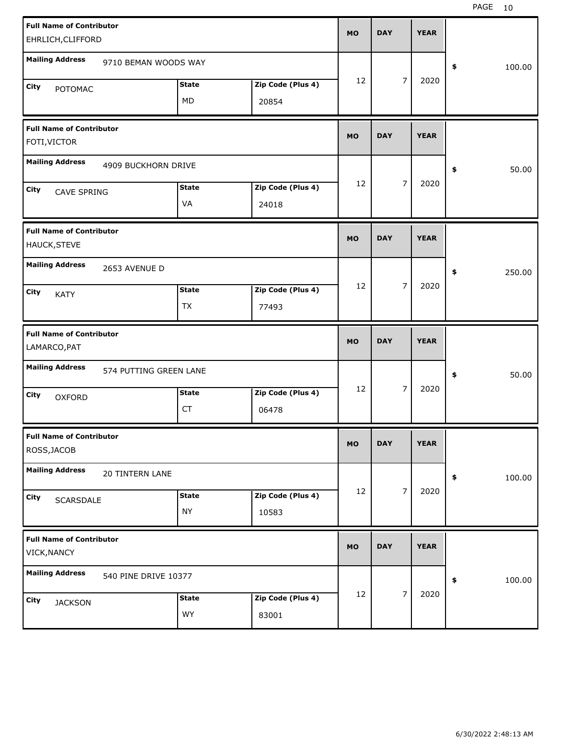| <b>Full Name of Contributor</b>                 |                        |              |                   | <b>MO</b> | <b>DAY</b> |                | <b>YEAR</b> |              |
|-------------------------------------------------|------------------------|--------------|-------------------|-----------|------------|----------------|-------------|--------------|
| EHRLICH, CLIFFORD                               |                        |              |                   |           |            |                |             |              |
| <b>Mailing Address</b>                          | 9710 BEMAN WOODS WAY   |              |                   |           |            |                |             | \$<br>100.00 |
| <b>City</b><br>POTOMAC                          |                        | <b>State</b> | Zip Code (Plus 4) | 12        |            | $\overline{7}$ | 2020        |              |
|                                                 |                        | MD           | 20854             |           |            |                |             |              |
| <b>Full Name of Contributor</b><br>FOTI, VICTOR |                        |              |                   | <b>MO</b> | <b>DAY</b> |                | <b>YEAR</b> |              |
| <b>Mailing Address</b>                          | 4909 BUCKHORN DRIVE    |              |                   |           |            |                |             | \$<br>50.00  |
| City<br><b>CAVE SPRING</b>                      |                        | <b>State</b> | Zip Code (Plus 4) | 12        |            | $\overline{7}$ | 2020        |              |
|                                                 |                        | VA           | 24018             |           |            |                |             |              |
| <b>Full Name of Contributor</b><br>HAUCK, STEVE |                        |              |                   | <b>MO</b> | <b>DAY</b> |                | <b>YEAR</b> |              |
| <b>Mailing Address</b>                          | 2653 AVENUE D          |              |                   |           |            |                |             | \$<br>250.00 |
| <b>City</b><br><b>KATY</b>                      |                        | <b>State</b> | Zip Code (Plus 4) | 12        |            | $\overline{7}$ | 2020        |              |
|                                                 |                        | TX           | 77493             |           |            |                |             |              |
|                                                 |                        |              |                   |           |            |                |             |              |
| <b>Full Name of Contributor</b><br>LAMARCO, PAT |                        |              |                   | <b>MO</b> | <b>DAY</b> |                | <b>YEAR</b> |              |
| <b>Mailing Address</b>                          | 574 PUTTING GREEN LANE |              |                   |           |            |                |             | \$<br>50.00  |
| City<br><b>OXFORD</b>                           |                        | <b>State</b> | Zip Code (Plus 4) | 12        |            | $\overline{7}$ | 2020        |              |
|                                                 |                        | <b>CT</b>    | 06478             |           |            |                |             |              |
| <b>Full Name of Contributor</b><br>ROSS, JACOB  |                        |              |                   | MO        | <b>DAY</b> |                | <b>YEAR</b> |              |
| <b>Mailing Address</b>                          | 20 TINTERN LANE        |              |                   |           |            |                |             | \$<br>100.00 |
| City                                            |                        | <b>State</b> | Zip Code (Plus 4) | 12        |            | $\overline{7}$ | 2020        |              |
| SCARSDALE                                       |                        | <b>NY</b>    | 10583             |           |            |                |             |              |
| <b>Full Name of Contributor</b><br>VICK, NANCY  |                        |              |                   | <b>MO</b> | <b>DAY</b> |                | <b>YEAR</b> |              |
| <b>Mailing Address</b>                          | 540 PINE DRIVE 10377   |              |                   |           |            |                |             | \$<br>100.00 |
| City<br><b>JACKSON</b>                          |                        | <b>State</b> | Zip Code (Plus 4) | 12        |            | $\overline{7}$ | 2020        |              |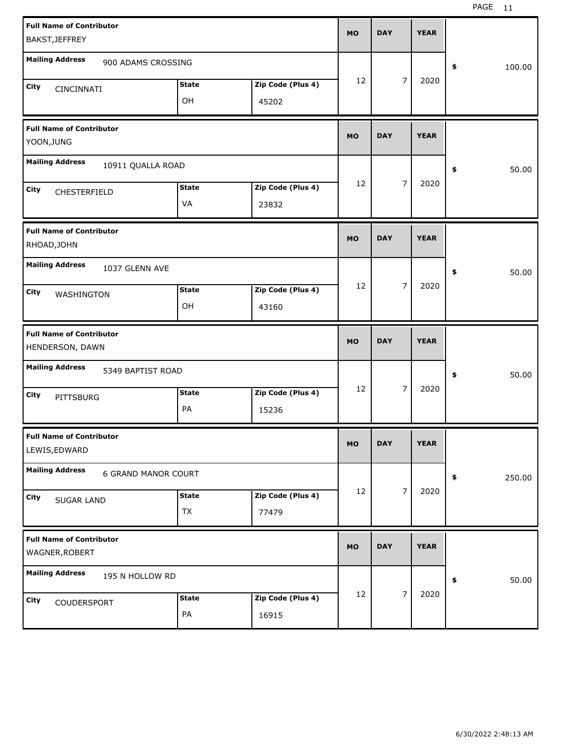| <b>Full Name of Contributor</b>                      |              |                   |           |            |   |             |              |
|------------------------------------------------------|--------------|-------------------|-----------|------------|---|-------------|--------------|
| BAKST, JEFFREY                                       |              |                   | <b>MO</b> | <b>DAY</b> |   | <b>YEAR</b> |              |
| <b>Mailing Address</b><br>900 ADAMS CROSSING         |              |                   |           |            |   |             | \$<br>100.00 |
| City<br>CINCINNATI                                   | <b>State</b> | Zip Code (Plus 4) | 12        |            | 7 | 2020        |              |
|                                                      | OH           | 45202             |           |            |   |             |              |
| <b>Full Name of Contributor</b><br>YOON, JUNG        |              |                   | <b>MO</b> | <b>DAY</b> |   | <b>YEAR</b> |              |
| <b>Mailing Address</b><br>10911 QUALLA ROAD          |              |                   |           |            |   |             | \$<br>50.00  |
| City<br>CHESTERFIELD                                 | <b>State</b> | Zip Code (Plus 4) | 12        |            | 7 | 2020        |              |
|                                                      | VA           | 23832             |           |            |   |             |              |
| <b>Full Name of Contributor</b><br>RHOAD, JOHN       |              |                   | <b>MO</b> | <b>DAY</b> |   | <b>YEAR</b> |              |
| <b>Mailing Address</b><br>1037 GLENN AVE             |              |                   |           |            |   |             | \$<br>50.00  |
| City<br>WASHINGTON                                   | <b>State</b> | Zip Code (Plus 4) | 12        |            | 7 | 2020        |              |
|                                                      | OH           | 43160             |           |            |   |             |              |
|                                                      |              |                   |           |            |   |             |              |
| <b>Full Name of Contributor</b><br>HENDERSON, DAWN   |              |                   | <b>MO</b> | <b>DAY</b> |   | <b>YEAR</b> |              |
| <b>Mailing Address</b><br>5349 BAPTIST ROAD          |              |                   |           |            |   |             | \$<br>50.00  |
| City                                                 | <b>State</b> | Zip Code (Plus 4) | 12        |            | 7 | 2020        |              |
| PITTSBURG                                            | PA           | 15236             |           |            |   |             |              |
| <b>Full Name of Contributor</b><br>LEWIS, EDWARD     |              |                   | MO        | <b>DAY</b> |   | <b>YEAR</b> |              |
| <b>Mailing Address</b><br><b>6 GRAND MANOR COURT</b> |              |                   |           |            |   |             | \$<br>250.00 |
| City                                                 | <b>State</b> | Zip Code (Plus 4) | 12        |            | 7 | 2020        |              |
| <b>SUGAR LAND</b>                                    | TX           | 77479             |           |            |   |             |              |
| <b>Full Name of Contributor</b><br>WAGNER, ROBERT    |              |                   | <b>MO</b> | <b>DAY</b> |   | <b>YEAR</b> |              |
| <b>Mailing Address</b><br>195 N HOLLOW RD            |              |                   |           |            |   |             | \$<br>50.00  |
| City<br>COUDERSPORT                                  | <b>State</b> | Zip Code (Plus 4) | 12        |            | 7 | 2020        |              |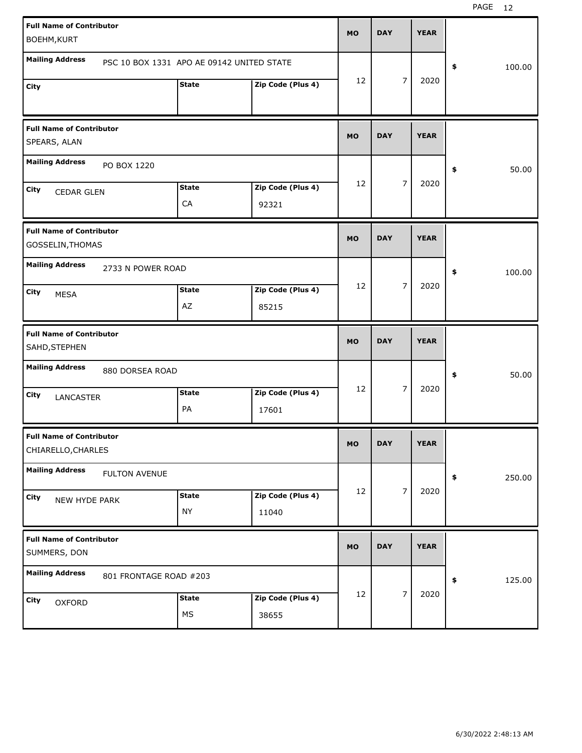| <b>Full Name of Contributor</b>                  |                        |                                           |                   |           |            |                |             |              |
|--------------------------------------------------|------------------------|-------------------------------------------|-------------------|-----------|------------|----------------|-------------|--------------|
| BOEHM, KURT                                      |                        |                                           |                   | <b>MO</b> | <b>DAY</b> |                | <b>YEAR</b> |              |
| <b>Mailing Address</b>                           |                        | PSC 10 BOX 1331 APO AE 09142 UNITED STATE |                   |           |            |                |             | \$<br>100.00 |
| City                                             |                        | <b>State</b>                              | Zip Code (Plus 4) | 12        |            | $\overline{7}$ | 2020        |              |
|                                                  |                        |                                           |                   |           |            |                |             |              |
| <b>Full Name of Contributor</b>                  |                        |                                           |                   | <b>MO</b> | <b>DAY</b> |                | <b>YEAR</b> |              |
| SPEARS, ALAN                                     |                        |                                           |                   |           |            |                |             |              |
| <b>Mailing Address</b>                           | PO BOX 1220            |                                           |                   |           |            |                |             | \$<br>50.00  |
| City<br><b>CEDAR GLEN</b>                        |                        | <b>State</b>                              | Zip Code (Plus 4) | 12        |            | $\overline{7}$ | 2020        |              |
|                                                  |                        | CA                                        | 92321             |           |            |                |             |              |
| <b>Full Name of Contributor</b>                  |                        |                                           |                   |           |            |                |             |              |
| GOSSELIN, THOMAS                                 |                        |                                           |                   | <b>MO</b> | <b>DAY</b> |                | <b>YEAR</b> |              |
| <b>Mailing Address</b>                           | 2733 N POWER ROAD      |                                           |                   |           |            |                |             | \$<br>100.00 |
| <b>City</b><br><b>MESA</b>                       |                        | <b>State</b>                              | Zip Code (Plus 4) | 12        |            | $\overline{7}$ | 2020        |              |
|                                                  |                        | AZ                                        | 85215             |           |            |                |             |              |
|                                                  |                        |                                           |                   |           |            |                |             |              |
| <b>Full Name of Contributor</b><br>SAHD, STEPHEN |                        |                                           |                   | <b>MO</b> | <b>DAY</b> |                | <b>YEAR</b> |              |
| <b>Mailing Address</b>                           | 880 DORSEA ROAD        |                                           |                   |           |            |                |             | \$<br>50.00  |
| City                                             |                        | <b>State</b>                              | Zip Code (Plus 4) | 12        |            | $\overline{7}$ | 2020        |              |
| LANCASTER                                        |                        | PA                                        | 17601             |           |            |                |             |              |
| <b>Full Name of Contributor</b>                  |                        |                                           |                   |           |            |                |             |              |
| CHIARELLO, CHARLES                               |                        |                                           |                   | <b>MO</b> | <b>DAY</b> |                | <b>YEAR</b> |              |
| <b>Mailing Address</b>                           | <b>FULTON AVENUE</b>   |                                           |                   |           |            |                |             | \$<br>250.00 |
| City<br>NEW HYDE PARK                            |                        | <b>State</b>                              | Zip Code (Plus 4) | 12        |            | $\overline{7}$ | 2020        |              |
|                                                  |                        | <b>NY</b>                                 | 11040             |           |            |                |             |              |
| <b>Full Name of Contributor</b>                  |                        |                                           |                   |           |            |                |             |              |
| SUMMERS, DON                                     |                        |                                           |                   | <b>MO</b> | <b>DAY</b> |                | <b>YEAR</b> |              |
| <b>Mailing Address</b>                           | 801 FRONTAGE ROAD #203 |                                           |                   |           |            |                |             | \$<br>125.00 |
| City<br>OXFORD                                   |                        | <b>State</b>                              | Zip Code (Plus 4) | 12        |            | $\overline{7}$ | 2020        |              |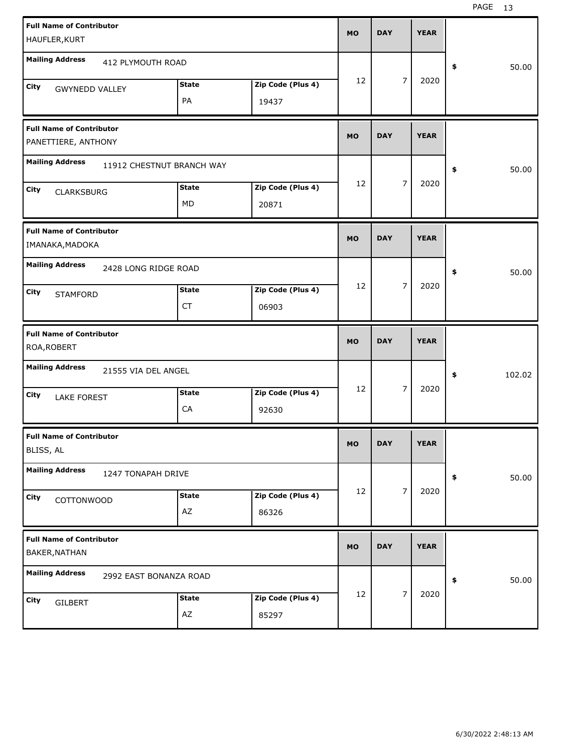| <b>Full Name of Contributor</b>                        |                           |               |                   | <b>MO</b> | <b>DAY</b> |                | <b>YEAR</b> |              |
|--------------------------------------------------------|---------------------------|---------------|-------------------|-----------|------------|----------------|-------------|--------------|
| HAUFLER, KURT                                          |                           |               |                   |           |            |                |             |              |
| <b>Mailing Address</b>                                 | 412 PLYMOUTH ROAD         |               |                   |           |            |                |             | \$<br>50.00  |
| City<br><b>GWYNEDD VALLEY</b>                          |                           | <b>State</b>  | Zip Code (Plus 4) | 12        |            | 7              | 2020        |              |
|                                                        |                           | PA            | 19437             |           |            |                |             |              |
| <b>Full Name of Contributor</b><br>PANETTIERE, ANTHONY |                           |               |                   | <b>MO</b> | <b>DAY</b> |                | <b>YEAR</b> |              |
| <b>Mailing Address</b>                                 | 11912 CHESTNUT BRANCH WAY |               |                   |           |            |                |             | \$<br>50.00  |
| City<br><b>CLARKSBURG</b>                              |                           | <b>State</b>  | Zip Code (Plus 4) | 12        |            | 7              | 2020        |              |
|                                                        |                           | MD            | 20871             |           |            |                |             |              |
| <b>Full Name of Contributor</b><br>IMANAKA, MADOKA     |                           |               |                   | <b>MO</b> | <b>DAY</b> |                | <b>YEAR</b> |              |
| <b>Mailing Address</b>                                 | 2428 LONG RIDGE ROAD      |               |                   |           |            |                |             | \$<br>50.00  |
| City<br><b>STAMFORD</b>                                |                           | <b>State</b>  | Zip Code (Plus 4) | 12        |            | $\overline{7}$ | 2020        |              |
|                                                        |                           | CT            | 06903             |           |            |                |             |              |
|                                                        |                           |               |                   |           |            |                |             |              |
| <b>Full Name of Contributor</b><br>ROA, ROBERT         |                           |               |                   | <b>MO</b> | <b>DAY</b> |                | <b>YEAR</b> |              |
| <b>Mailing Address</b>                                 | 21555 VIA DEL ANGEL       |               |                   |           |            |                |             | \$<br>102.02 |
| City                                                   |                           | <b>State</b>  | Zip Code (Plus 4) | 12        |            | $\overline{7}$ | 2020        |              |
| <b>LAKE FOREST</b>                                     |                           | CA            | 92630             |           |            |                |             |              |
| <b>Full Name of Contributor</b><br>BLISS, AL           |                           |               |                   | MO        | <b>DAY</b> |                | <b>YEAR</b> |              |
| <b>Mailing Address</b>                                 | 1247 TONAPAH DRIVE        |               |                   |           |            |                |             | \$<br>50.00  |
| City                                                   |                           | <b>State</b>  | Zip Code (Plus 4) | 12        |            | $\overline{7}$ | 2020        |              |
| COTTONWOOD                                             |                           | $\mathsf{AZ}$ | 86326             |           |            |                |             |              |
| <b>Full Name of Contributor</b><br>BAKER, NATHAN       |                           |               |                   | <b>MO</b> | <b>DAY</b> |                | <b>YEAR</b> |              |
| <b>Mailing Address</b>                                 | 2992 EAST BONANZA ROAD    |               |                   |           |            |                |             | \$<br>50.00  |
| City<br><b>GILBERT</b>                                 |                           | <b>State</b>  | Zip Code (Plus 4) | 12        |            | $\overline{7}$ | 2020        |              |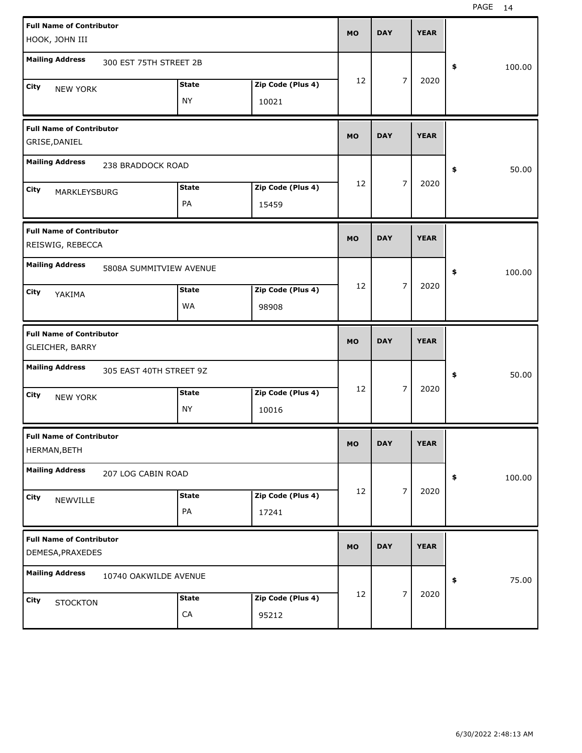| <b>Full Name of Contributor</b>                     |                         |              |                   | <b>MO</b> | <b>DAY</b> |                | <b>YEAR</b> |              |
|-----------------------------------------------------|-------------------------|--------------|-------------------|-----------|------------|----------------|-------------|--------------|
| HOOK, JOHN III                                      |                         |              |                   |           |            |                |             |              |
| <b>Mailing Address</b>                              | 300 EST 75TH STREET 2B  |              |                   |           |            |                |             | \$<br>100.00 |
| City<br><b>NEW YORK</b>                             |                         | <b>State</b> | Zip Code (Plus 4) | 12        |            | 7              | 2020        |              |
|                                                     |                         | <b>NY</b>    | 10021             |           |            |                |             |              |
| <b>Full Name of Contributor</b><br>GRISE, DANIEL    |                         |              |                   | <b>MO</b> | <b>DAY</b> |                | <b>YEAR</b> |              |
| <b>Mailing Address</b>                              | 238 BRADDOCK ROAD       |              |                   |           |            |                |             | \$<br>50.00  |
|                                                     |                         | <b>State</b> | Zip Code (Plus 4) | 12        |            | $\overline{7}$ | 2020        |              |
| City<br>MARKLEYSBURG                                |                         | PA           | 15459             |           |            |                |             |              |
| <b>Full Name of Contributor</b>                     |                         |              |                   | <b>MO</b> | <b>DAY</b> |                | <b>YEAR</b> |              |
| REISWIG, REBECCA                                    |                         |              |                   |           |            |                |             |              |
| <b>Mailing Address</b>                              | 5808A SUMMITVIEW AVENUE |              |                   |           |            |                |             | \$<br>100.00 |
| City<br>YAKIMA                                      |                         | <b>State</b> | Zip Code (Plus 4) | 12        |            | 7              | 2020        |              |
|                                                     |                         | WA           | 98908             |           |            |                |             |              |
|                                                     |                         |              |                   |           |            |                |             |              |
| <b>Full Name of Contributor</b><br>GLEICHER, BARRY  |                         |              |                   | <b>MO</b> | <b>DAY</b> |                | <b>YEAR</b> |              |
| <b>Mailing Address</b>                              | 305 EAST 40TH STREET 9Z |              |                   |           |            |                |             | \$<br>50.00  |
| City                                                |                         | <b>State</b> | Zip Code (Plus 4) | 12        |            | $\overline{7}$ | 2020        |              |
| <b>NEW YORK</b>                                     |                         | <b>NY</b>    | 10016             |           |            |                |             |              |
| <b>Full Name of Contributor</b><br>HERMAN, BETH     |                         |              |                   | <b>MO</b> | <b>DAY</b> |                | <b>YEAR</b> |              |
| <b>Mailing Address</b>                              | 207 LOG CABIN ROAD      |              |                   |           |            |                |             | \$<br>100.00 |
| City                                                |                         | <b>State</b> | Zip Code (Plus 4) | 12        |            | $\overline{7}$ | 2020        |              |
| NEWVILLE                                            |                         | PA           | 17241             |           |            |                |             |              |
| <b>Full Name of Contributor</b><br>DEMESA, PRAXEDES |                         |              |                   | <b>MO</b> | <b>DAY</b> |                | <b>YEAR</b> |              |
| <b>Mailing Address</b>                              | 10740 OAKWILDE AVENUE   |              |                   |           |            |                |             | \$<br>75.00  |
| City<br><b>STOCKTON</b>                             |                         | <b>State</b> | Zip Code (Plus 4) | 12        |            | $\overline{7}$ | 2020        |              |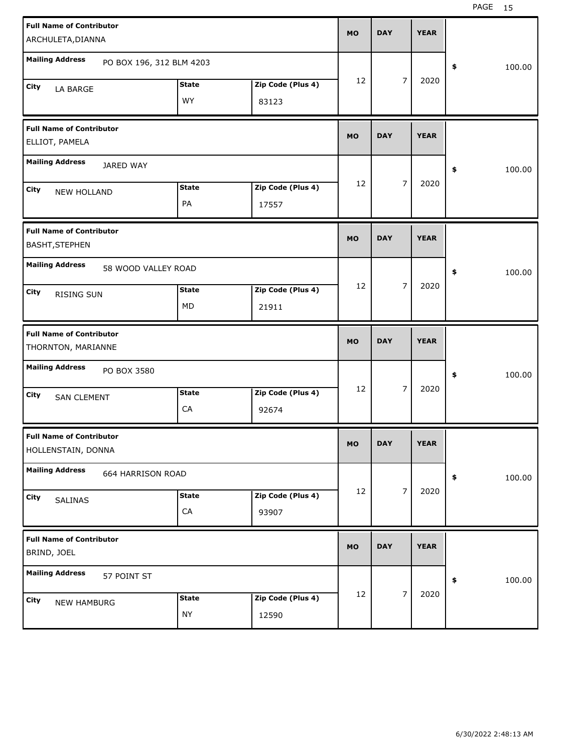| <b>Full Name of Contributor</b><br>ARCHULETA, DIANNA     |              |                   | <b>MO</b> | <b>DAY</b> |                | <b>YEAR</b> |              |  |
|----------------------------------------------------------|--------------|-------------------|-----------|------------|----------------|-------------|--------------|--|
| <b>Mailing Address</b><br>PO BOX 196, 312 BLM 4203       |              |                   |           |            |                |             | \$<br>100.00 |  |
| City<br>LA BARGE                                         | <b>State</b> | Zip Code (Plus 4) | 12        |            | 7              | 2020        |              |  |
|                                                          | <b>WY</b>    | 83123             |           |            |                |             |              |  |
| <b>Full Name of Contributor</b><br>ELLIOT, PAMELA        |              |                   | <b>MO</b> | <b>DAY</b> |                | <b>YEAR</b> |              |  |
| <b>Mailing Address</b><br>JARED WAY                      |              |                   |           |            |                |             | \$<br>100.00 |  |
| City<br><b>NEW HOLLAND</b>                               | <b>State</b> | Zip Code (Plus 4) | 12        |            | $\overline{7}$ | 2020        |              |  |
|                                                          | PA           | 17557             |           |            |                |             |              |  |
| <b>Full Name of Contributor</b><br><b>BASHT, STEPHEN</b> |              |                   | <b>MO</b> | <b>DAY</b> |                | <b>YEAR</b> |              |  |
| <b>Mailing Address</b><br>58 WOOD VALLEY ROAD            |              |                   |           |            |                |             | \$<br>100.00 |  |
| City<br><b>RISING SUN</b>                                | <b>State</b> | Zip Code (Plus 4) | 12        |            | $\overline{7}$ | 2020        |              |  |
|                                                          | <b>MD</b>    | 21911             |           |            |                |             |              |  |
|                                                          |              |                   |           |            |                |             |              |  |
| <b>Full Name of Contributor</b><br>THORNTON, MARIANNE    |              |                   | <b>MO</b> | <b>DAY</b> |                | <b>YEAR</b> |              |  |
| <b>Mailing Address</b><br>PO BOX 3580                    |              |                   |           |            |                |             | \$<br>100.00 |  |
| City                                                     | <b>State</b> | Zip Code (Plus 4) | 12        |            | 7              | 2020        |              |  |
| <b>SAN CLEMENT</b>                                       | CA           | 92674             |           |            |                |             |              |  |
| <b>Full Name of Contributor</b><br>HOLLENSTAIN, DONNA    |              |                   | <b>MO</b> | <b>DAY</b> |                | YEAK        |              |  |
| <b>Mailing Address</b><br>664 HARRISON ROAD              |              |                   |           |            |                |             | 100.00<br>\$ |  |
| City                                                     | <b>State</b> | Zip Code (Plus 4) | 12        |            | $\overline{7}$ | 2020        |              |  |
| SALINAS                                                  | ${\sf CA}$   | 93907             |           |            |                |             |              |  |
| <b>Full Name of Contributor</b><br>BRIND, JOEL           |              |                   | <b>MO</b> | <b>DAY</b> |                | <b>YEAR</b> |              |  |
| <b>Mailing Address</b><br>57 POINT ST                    |              |                   |           |            |                |             | \$<br>100.00 |  |
| City<br><b>NEW HAMBURG</b>                               | <b>State</b> | Zip Code (Plus 4) | 12        |            | $\overline{7}$ | 2020        |              |  |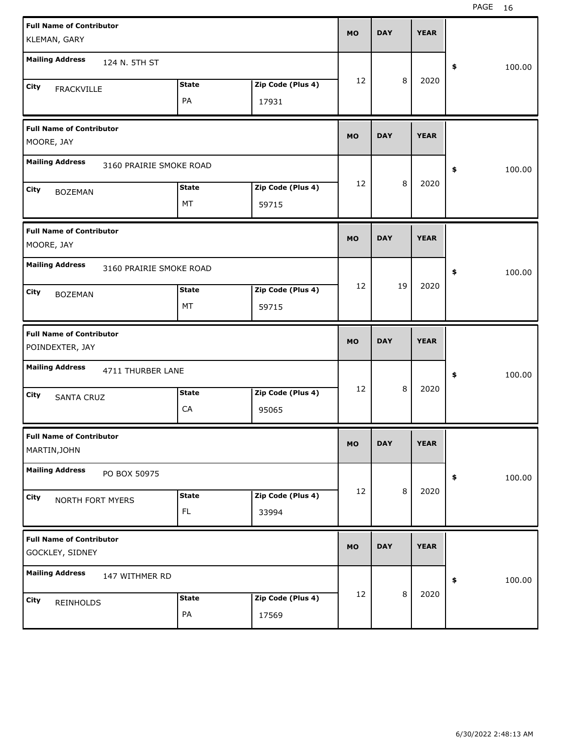| <b>Full Name of Contributor</b><br>KLEMAN, GARY    |                     |                            | <b>MO</b> | <b>DAY</b> |         | <b>YEAR</b> |              |
|----------------------------------------------------|---------------------|----------------------------|-----------|------------|---------|-------------|--------------|
| <b>Mailing Address</b><br>124 N. 5TH ST            |                     |                            |           |            |         |             | \$<br>100.00 |
| City<br><b>FRACKVILLE</b>                          | <b>State</b><br>PA  | Zip Code (Plus 4)<br>17931 | 12        |            | 8       | 2020        |              |
| <b>Full Name of Contributor</b><br>MOORE, JAY      |                     |                            | <b>MO</b> | <b>DAY</b> |         | <b>YEAR</b> |              |
| <b>Mailing Address</b><br>3160 PRAIRIE SMOKE ROAD  |                     |                            |           |            |         |             | \$<br>100.00 |
| City<br><b>BOZEMAN</b>                             | <b>State</b><br>MT  | Zip Code (Plus 4)<br>59715 | 12        |            | 8       | 2020        |              |
| <b>Full Name of Contributor</b><br>MOORE, JAY      |                     |                            | <b>MO</b> | <b>DAY</b> |         | <b>YEAR</b> |              |
| <b>Mailing Address</b><br>3160 PRAIRIE SMOKE ROAD  |                     |                            |           |            |         |             | \$<br>100.00 |
| City<br><b>BOZEMAN</b>                             | <b>State</b><br>MT  | Zip Code (Plus 4)<br>59715 | 12        | 19         |         | 2020        |              |
|                                                    |                     |                            |           |            |         |             |              |
| <b>Full Name of Contributor</b><br>POINDEXTER, JAY |                     |                            | <b>MO</b> | <b>DAY</b> |         | <b>YEAR</b> |              |
| <b>Mailing Address</b><br>4711 THURBER LANE        |                     |                            |           |            |         |             | \$<br>100.00 |
| City<br><b>SANTA CRUZ</b>                          | <b>State</b><br>CA  | Zip Code (Plus 4)<br>95065 | 12        |            | 8       | 2020        |              |
| <b>Full Name of Contributor</b><br>MARTIN, JOHN    |                     |                            | <b>MO</b> | <b>DAY</b> |         | <b>YEAR</b> |              |
| <b>Mailing Address</b><br>PO BOX 50975             |                     |                            |           |            |         |             | \$<br>100.00 |
| City<br>NORTH FORT MYERS                           | <b>State</b><br>FL. | Zip Code (Plus 4)<br>33994 | 12        |            | $\,8\,$ | 2020        |              |
| <b>Full Name of Contributor</b><br>GOCKLEY, SIDNEY |                     |                            | <b>MO</b> | <b>DAY</b> |         | <b>YEAR</b> |              |
| <b>Mailing Address</b><br>147 WITHMER RD           |                     |                            | 12        |            | $\,8\,$ | 2020        | \$<br>100.00 |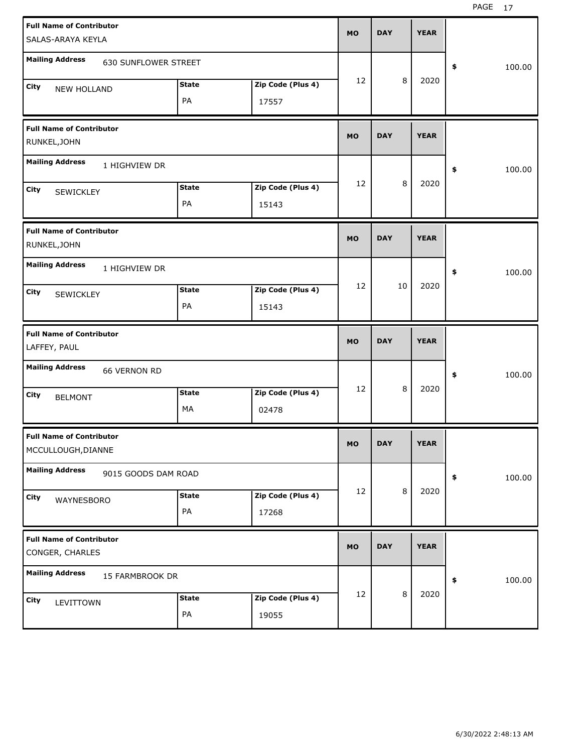| <b>Full Name of Contributor</b><br>SALAS-ARAYA KEYLA  |                    |                            | <b>MO</b> | <b>DAY</b> |         | <b>YEAR</b> |              |
|-------------------------------------------------------|--------------------|----------------------------|-----------|------------|---------|-------------|--------------|
| <b>Mailing Address</b><br><b>630 SUNFLOWER STREET</b> |                    |                            |           |            |         |             | \$<br>100.00 |
| City<br><b>NEW HOLLAND</b>                            | <b>State</b><br>PA | Zip Code (Plus 4)<br>17557 | 12        |            | 8       | 2020        |              |
| <b>Full Name of Contributor</b><br>RUNKEL, JOHN       |                    |                            | <b>MO</b> | <b>DAY</b> |         | <b>YEAR</b> |              |
| <b>Mailing Address</b><br>1 HIGHVIEW DR               |                    |                            |           |            |         |             | \$<br>100.00 |
| City<br>SEWICKLEY                                     | <b>State</b><br>PA | Zip Code (Plus 4)<br>15143 | 12        |            | 8       | 2020        |              |
| <b>Full Name of Contributor</b><br>RUNKEL, JOHN       |                    |                            | <b>MO</b> | <b>DAY</b> |         | <b>YEAR</b> |              |
| <b>Mailing Address</b><br>1 HIGHVIEW DR               |                    |                            |           |            |         |             | \$<br>100.00 |
| City<br><b>SEWICKLEY</b>                              | <b>State</b><br>PA | Zip Code (Plus 4)<br>15143 | 12        | 10         |         | 2020        |              |
|                                                       |                    |                            |           |            |         |             |              |
| <b>Full Name of Contributor</b><br>LAFFEY, PAUL       |                    |                            | <b>MO</b> | <b>DAY</b> |         | <b>YEAR</b> |              |
| <b>Mailing Address</b><br><b>66 VERNON RD</b>         |                    |                            |           |            |         |             | \$<br>100.00 |
| City<br><b>BELMONT</b>                                | <b>State</b><br>MA | Zip Code (Plus 4)<br>02478 | 12        |            | 8       | 2020        |              |
| <b>Full Name of Contributor</b><br>MCCULLOUGH, DIANNE |                    |                            | <b>MO</b> | <b>DAY</b> |         | <b>YEAR</b> |              |
| <b>Mailing Address</b><br>9015 GOODS DAM ROAD         |                    |                            |           |            |         |             | \$<br>100.00 |
| City<br>WAYNESBORO                                    | <b>State</b><br>PA | Zip Code (Plus 4)<br>17268 | 12        |            | $\,8\,$ | 2020        |              |
| <b>Full Name of Contributor</b><br>CONGER, CHARLES    |                    |                            | <b>MO</b> | <b>DAY</b> |         | <b>YEAR</b> |              |
| <b>Mailing Address</b><br>15 FARMBROOK DR             |                    |                            |           |            | 8       | 2020        | \$<br>100.00 |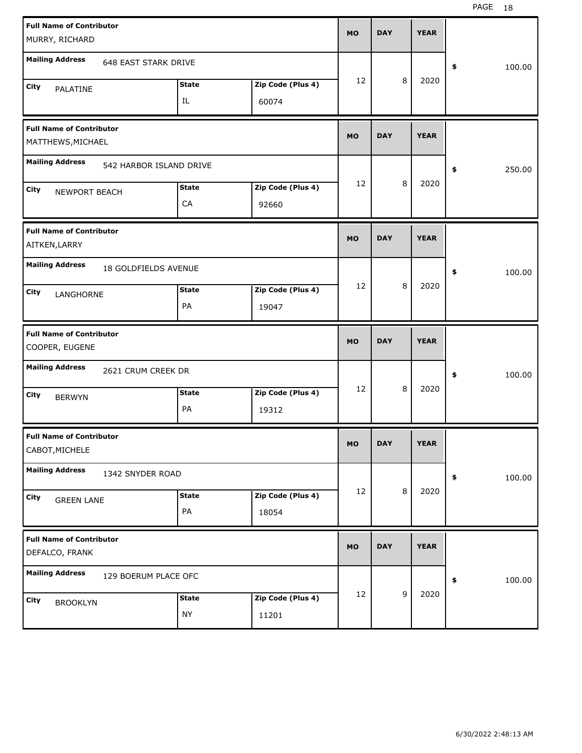| <b>Full Name of Contributor</b><br>MURRY, RICHARD |                             |              |                   | <b>MO</b> | <b>DAY</b> |   | <b>YEAR</b> |              |
|---------------------------------------------------|-----------------------------|--------------|-------------------|-----------|------------|---|-------------|--------------|
|                                                   |                             |              |                   |           |            |   |             |              |
| <b>Mailing Address</b>                            | <b>648 EAST STARK DRIVE</b> |              |                   |           |            |   |             | \$<br>100.00 |
| City<br>PALATINE                                  |                             | <b>State</b> | Zip Code (Plus 4) | 12        |            | 8 | 2020        |              |
|                                                   |                             | IL           | 60074             |           |            |   |             |              |
| <b>Full Name of Contributor</b>                   |                             |              |                   | <b>MO</b> | <b>DAY</b> |   | <b>YEAR</b> |              |
| MATTHEWS, MICHAEL                                 |                             |              |                   |           |            |   |             |              |
| <b>Mailing Address</b>                            | 542 HARBOR ISLAND DRIVE     |              |                   |           |            |   |             | \$<br>250.00 |
| City<br>NEWPORT BEACH                             |                             | <b>State</b> | Zip Code (Plus 4) | 12        |            | 8 | 2020        |              |
|                                                   |                             | CA           | 92660             |           |            |   |             |              |
| <b>Full Name of Contributor</b>                   |                             |              |                   | <b>MO</b> | <b>DAY</b> |   | <b>YEAR</b> |              |
| AITKEN, LARRY                                     |                             |              |                   |           |            |   |             |              |
| <b>Mailing Address</b>                            | 18 GOLDFIELDS AVENUE        |              |                   |           |            |   |             | \$<br>100.00 |
| <b>City</b><br>LANGHORNE                          |                             | <b>State</b> | Zip Code (Plus 4) | 12        |            | 8 | 2020        |              |
|                                                   |                             | PA           | 19047             |           |            |   |             |              |
|                                                   |                             |              |                   |           |            |   |             |              |
| <b>Full Name of Contributor</b>                   |                             |              |                   |           |            |   |             |              |
| COOPER, EUGENE                                    |                             |              |                   | <b>MO</b> | <b>DAY</b> |   | <b>YEAR</b> |              |
| <b>Mailing Address</b>                            | 2621 CRUM CREEK DR          |              |                   |           |            |   |             | \$<br>100.00 |
| City<br><b>BERWYN</b>                             |                             | <b>State</b> | Zip Code (Plus 4) | 12        |            | 8 | 2020        |              |
|                                                   |                             | PA           | 19312             |           |            |   |             |              |
| <b>Full Name of Contributor</b>                   |                             |              |                   |           | <b>DAY</b> |   | <b>YEAR</b> |              |
| CABOT, MICHELE                                    |                             |              |                   | <b>MO</b> |            |   |             |              |
| <b>Mailing Address</b>                            | 1342 SNYDER ROAD            |              |                   |           |            |   |             | \$<br>100.00 |
| City<br><b>GREEN LANE</b>                         |                             | <b>State</b> | Zip Code (Plus 4) | 12        |            | 8 | 2020        |              |
|                                                   |                             | PA           | 18054             |           |            |   |             |              |
| <b>Full Name of Contributor</b><br>DEFALCO, FRANK |                             |              |                   | <b>MO</b> | <b>DAY</b> |   | <b>YEAR</b> |              |
| <b>Mailing Address</b>                            | 129 BOERUM PLACE OFC        |              |                   |           |            |   |             | \$<br>100.00 |
| City<br><b>BROOKLYN</b>                           |                             | <b>State</b> | Zip Code (Plus 4) | 12        |            | 9 | 2020        |              |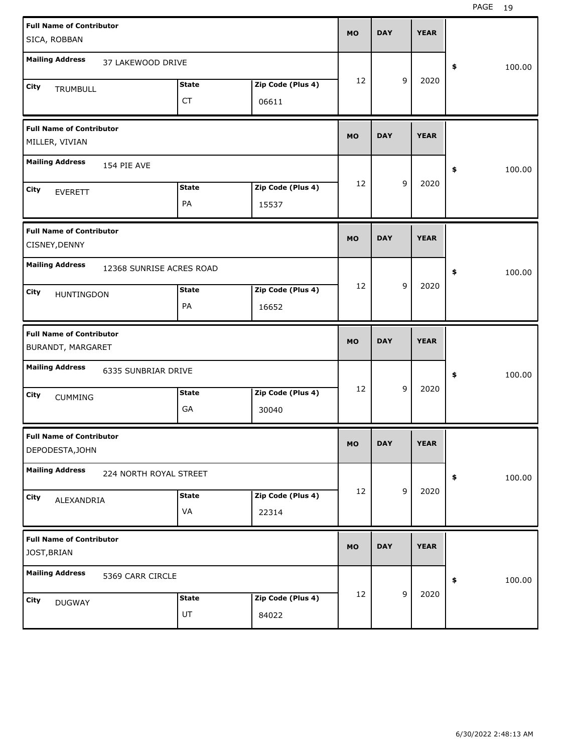| <b>Full Name of Contributor</b><br>SICA, ROBBAN      |                          |                           |                            | <b>MO</b> | <b>DAY</b> |                | <b>YEAR</b> |              |
|------------------------------------------------------|--------------------------|---------------------------|----------------------------|-----------|------------|----------------|-------------|--------------|
| <b>Mailing Address</b>                               | 37 LAKEWOOD DRIVE        |                           |                            |           |            |                |             | \$<br>100.00 |
| City<br>TRUMBULL                                     |                          | <b>State</b><br><b>CT</b> | Zip Code (Plus 4)<br>06611 | 12        |            | 9              | 2020        |              |
| <b>Full Name of Contributor</b><br>MILLER, VIVIAN    |                          |                           |                            | <b>MO</b> | <b>DAY</b> |                | <b>YEAR</b> |              |
| <b>Mailing Address</b>                               | 154 PIE AVE              |                           |                            |           |            |                |             | \$<br>100.00 |
| City<br><b>EVERETT</b>                               |                          | <b>State</b><br>PA        | Zip Code (Plus 4)<br>15537 | 12        |            | 9              | 2020        |              |
| <b>Full Name of Contributor</b><br>CISNEY, DENNY     |                          |                           |                            | <b>MO</b> | <b>DAY</b> |                | <b>YEAR</b> |              |
| <b>Mailing Address</b>                               | 12368 SUNRISE ACRES ROAD |                           |                            |           |            |                |             | \$<br>100.00 |
| City<br>HUNTINGDON                                   |                          | <b>State</b><br>PA        | Zip Code (Plus 4)<br>16652 | 12        |            | 9              | 2020        |              |
|                                                      |                          |                           |                            |           |            |                |             |              |
| <b>Full Name of Contributor</b><br>BURANDT, MARGARET |                          |                           |                            | <b>MO</b> | <b>DAY</b> |                | <b>YEAR</b> |              |
| <b>Mailing Address</b>                               | 6335 SUNBRIAR DRIVE      |                           |                            |           |            |                |             | \$<br>100.00 |
| City<br><b>CUMMING</b>                               |                          | <b>State</b><br>GA        | Zip Code (Plus 4)<br>30040 | 12        |            | 9              | 2020        |              |
| <b>Full Name of Contributor</b><br>DEPODESTA, JOHN   |                          |                           |                            | <b>MO</b> | <b>DAY</b> |                | <b>YEAR</b> |              |
| <b>Mailing Address</b>                               | 224 NORTH ROYAL STREET   |                           |                            |           |            |                |             | \$<br>100.00 |
| City<br>ALEXANDRIA                                   |                          | <b>State</b><br>VA        | Zip Code (Plus 4)<br>22314 | 12        |            | $\mathsf g$    | 2020        |              |
| <b>Full Name of Contributor</b><br>JOST, BRIAN       |                          |                           |                            | <b>MO</b> | <b>DAY</b> |                | <b>YEAR</b> |              |
| <b>Mailing Address</b>                               | 5369 CARR CIRCLE         |                           |                            | 12        |            | $\overline{9}$ | 2020        | \$<br>100.00 |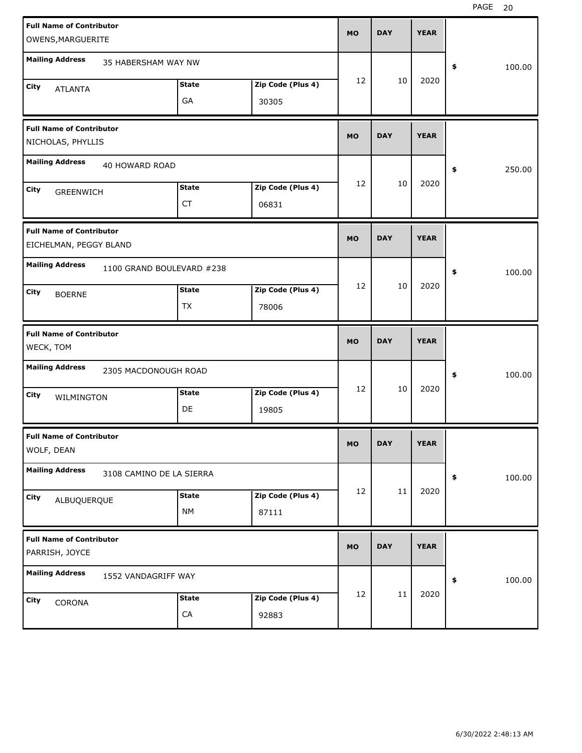| <b>Full Name of Contributor</b>                           |                           |              |                   |           |            |             |              |
|-----------------------------------------------------------|---------------------------|--------------|-------------------|-----------|------------|-------------|--------------|
| OWENS, MARGUERITE                                         |                           |              |                   | <b>MO</b> | <b>DAY</b> | <b>YEAR</b> |              |
| <b>Mailing Address</b>                                    | 35 HABERSHAM WAY NW       |              |                   |           |            |             | \$<br>100.00 |
| City<br><b>ATLANTA</b>                                    |                           | <b>State</b> | Zip Code (Plus 4) | 12        | 10         | 2020        |              |
|                                                           |                           | GA           | 30305             |           |            |             |              |
| <b>Full Name of Contributor</b><br>NICHOLAS, PHYLLIS      |                           |              |                   | <b>MO</b> | <b>DAY</b> | <b>YEAR</b> |              |
| <b>Mailing Address</b>                                    | 40 HOWARD ROAD            |              |                   |           |            |             | \$<br>250.00 |
| City<br><b>GREENWICH</b>                                  |                           | <b>State</b> | Zip Code (Plus 4) | 12        | 10         | 2020        |              |
|                                                           |                           | <b>CT</b>    | 06831             |           |            |             |              |
| <b>Full Name of Contributor</b><br>EICHELMAN, PEGGY BLAND |                           |              |                   | <b>MO</b> | <b>DAY</b> | <b>YEAR</b> |              |
| <b>Mailing Address</b>                                    | 1100 GRAND BOULEVARD #238 |              |                   |           |            |             | \$<br>100.00 |
| City<br><b>BOERNE</b>                                     |                           | <b>State</b> | Zip Code (Plus 4) | 12        | 10         | 2020        |              |
|                                                           |                           | TX           | 78006             |           |            |             |              |
|                                                           |                           |              |                   |           |            |             |              |
| <b>Full Name of Contributor</b><br>WECK, TOM              |                           |              |                   | <b>MO</b> | <b>DAY</b> | <b>YEAR</b> |              |
| <b>Mailing Address</b>                                    | 2305 MACDONOUGH ROAD      |              |                   |           |            |             | \$<br>100.00 |
| City<br>WILMINGTON                                        |                           | <b>State</b> | Zip Code (Plus 4) | 12        | 10         | 2020        |              |
|                                                           |                           | DE           | 19805             |           |            |             |              |
| <b>Full Name of Contributor</b><br>WOLF, DEAN             |                           |              |                   | MO        | <b>DAY</b> | <b>YEAR</b> |              |
| <b>Mailing Address</b>                                    | 3108 CAMINO DE LA SIERRA  |              |                   |           |            |             | \$<br>100.00 |
| <b>City</b><br>ALBUQUERQUE                                |                           | <b>State</b> | Zip Code (Plus 4) | 12        | 11         | 2020        |              |
|                                                           |                           | <b>NM</b>    | 87111             |           |            |             |              |
| <b>Full Name of Contributor</b><br>PARRISH, JOYCE         |                           |              |                   | <b>MO</b> | <b>DAY</b> | <b>YEAR</b> |              |
| <b>Mailing Address</b>                                    | 1552 VANDAGRIFF WAY       |              |                   |           |            |             | \$<br>100.00 |
| <b>City</b><br>CORONA                                     |                           | <b>State</b> | Zip Code (Plus 4) | 12        | 11         | 2020        |              |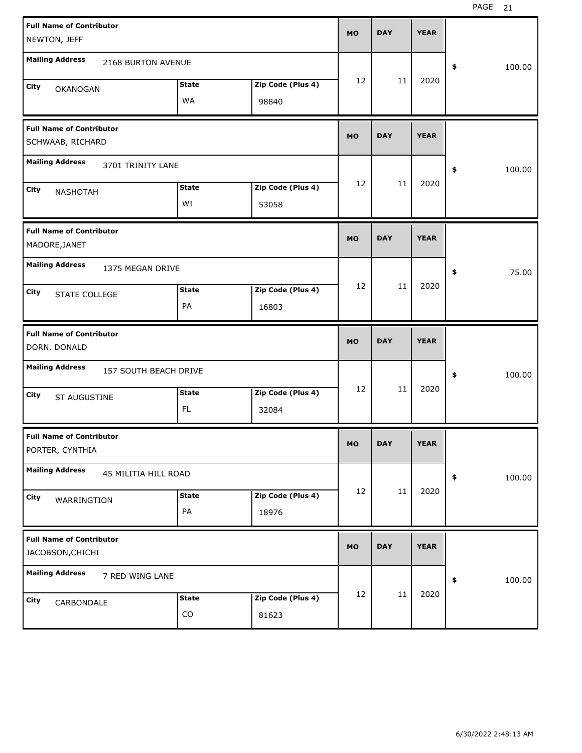| <b>Full Name of Contributor</b><br>NEWTON, JEFF     |              |                   | <b>MO</b> | <b>DAY</b> | <b>YEAR</b> |              |
|-----------------------------------------------------|--------------|-------------------|-----------|------------|-------------|--------------|
|                                                     |              |                   |           |            |             |              |
| <b>Mailing Address</b><br>2168 BURTON AVENUE        |              |                   |           |            |             | \$<br>100.00 |
| City<br><b>OKANOGAN</b>                             | <b>State</b> | Zip Code (Plus 4) | 12        | 11         | 2020        |              |
|                                                     | WA           | 98840             |           |            |             |              |
|                                                     |              |                   |           |            |             |              |
| <b>Full Name of Contributor</b><br>SCHWAAB, RICHARD |              |                   | <b>MO</b> | <b>DAY</b> | <b>YEAR</b> |              |
| <b>Mailing Address</b><br>3701 TRINITY LANE         |              |                   |           |            |             | \$<br>100.00 |
| City                                                | <b>State</b> | Zip Code (Plus 4) | 12        | 11         | 2020        |              |
| <b>NASHOTAH</b>                                     | WI           | 53058             |           |            |             |              |
|                                                     |              |                   |           |            |             |              |
| <b>Full Name of Contributor</b>                     |              |                   | <b>MO</b> | <b>DAY</b> | <b>YEAR</b> |              |
| MADORE, JANET                                       |              |                   |           |            |             |              |
| <b>Mailing Address</b><br>1375 MEGAN DRIVE          |              |                   |           |            |             | \$<br>75.00  |
| City<br>STATE COLLEGE                               | <b>State</b> | Zip Code (Plus 4) | 12        | 11         | 2020        |              |
|                                                     | PA           | 16803             |           |            |             |              |
|                                                     |              |                   |           |            |             |              |
| <b>Full Name of Contributor</b>                     |              |                   | <b>MO</b> | <b>DAY</b> | <b>YEAR</b> |              |
| DORN, DONALD                                        |              |                   |           |            |             |              |
| <b>Mailing Address</b><br>157 SOUTH BEACH DRIVE     |              |                   |           |            |             | \$<br>100.00 |
| City                                                | <b>State</b> | Zip Code (Plus 4) | 12        | 11         | 2020        |              |
| ST AUGUSTINE                                        | FL.          | 32084             |           |            |             |              |
| <b>Full Name of Contributor</b>                     |              |                   |           |            |             |              |
| PORTER, CYNTHIA                                     |              |                   | MO        | <b>DAY</b> | <b>YEAR</b> |              |
| <b>Mailing Address</b><br>45 MILITIA HILL ROAD      |              |                   |           |            |             | \$<br>100.00 |
|                                                     |              |                   | 12        | 11         | 2020        |              |
| City<br>WARRINGTION                                 | <b>State</b> | Zip Code (Plus 4) |           |            |             |              |
|                                                     | PA           | 18976             |           |            |             |              |
|                                                     |              |                   |           |            |             |              |
| <b>Full Name of Contributor</b><br>JACOBSON, CHICHI |              |                   | <b>MO</b> | <b>DAY</b> | <b>YEAR</b> |              |
| <b>Mailing Address</b><br>7 RED WING LANE           |              |                   |           |            |             | \$<br>100.00 |
| City                                                | <b>State</b> | Zip Code (Plus 4) | 12        | 11         | 2020        |              |
| CARBONDALE                                          | CO           | 81623             |           |            |             |              |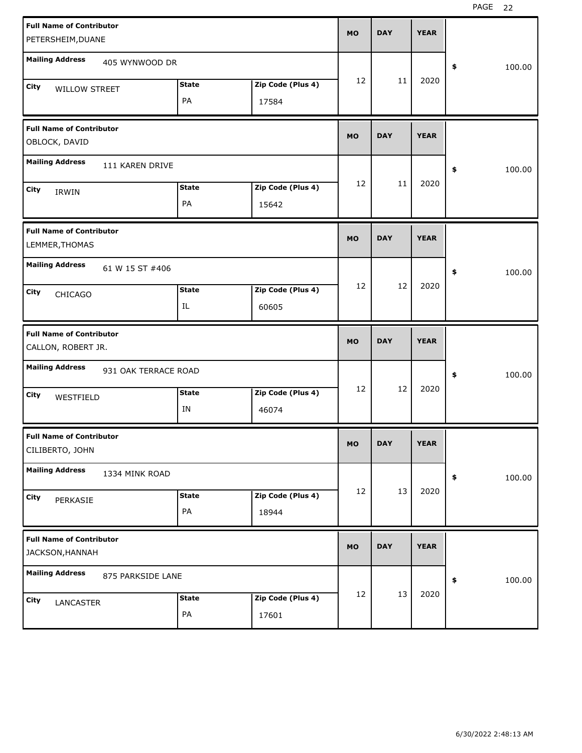| <b>Full Name of Contributor</b>                       | <b>MO</b>         |    | <b>DAY</b> | <b>YEAR</b> |              |  |
|-------------------------------------------------------|-------------------|----|------------|-------------|--------------|--|
| PETERSHEIM, DUANE                                     |                   |    |            |             |              |  |
| <b>Mailing Address</b><br>405 WYNWOOD DR              |                   |    |            |             | \$<br>100.00 |  |
| <b>State</b><br>City<br><b>WILLOW STREET</b>          | Zip Code (Plus 4) | 12 | 11         | 2020        |              |  |
| PA                                                    | 17584             |    |            |             |              |  |
| <b>Full Name of Contributor</b><br>OBLOCK, DAVID      | <b>MO</b>         |    | <b>DAY</b> | <b>YEAR</b> |              |  |
| <b>Mailing Address</b><br>111 KAREN DRIVE             |                   |    |            |             | \$<br>100.00 |  |
| <b>State</b><br>City<br>IRWIN                         | Zip Code (Plus 4) | 12 | 11         | 2020        |              |  |
| PA                                                    | 15642             |    |            |             |              |  |
| <b>Full Name of Contributor</b><br>LEMMER, THOMAS     | <b>MO</b>         |    | <b>DAY</b> | <b>YEAR</b> |              |  |
| <b>Mailing Address</b><br>61 W 15 ST #406             |                   |    |            |             | \$<br>100.00 |  |
| <b>State</b><br>City<br><b>CHICAGO</b>                | Zip Code (Plus 4) | 12 | 12         | 2020        |              |  |
| IL                                                    | 60605             |    |            |             |              |  |
|                                                       |                   |    |            |             |              |  |
| <b>Full Name of Contributor</b><br>CALLON, ROBERT JR. | <b>MO</b>         |    | <b>DAY</b> | <b>YEAR</b> |              |  |
| <b>Mailing Address</b><br>931 OAK TERRACE ROAD        |                   |    |            |             | \$<br>100.00 |  |
| <b>State</b><br>City<br>WESTFIELD                     | Zip Code (Plus 4) | 12 | 12         | 2020        |              |  |
| IN                                                    | 46074             |    |            |             |              |  |
| <b>Full Name of Contributor</b><br>CILIBERTO, JOHN    | МO                |    | <b>DAY</b> | <b>YEAR</b> |              |  |
| <b>Mailing Address</b><br>1334 MINK ROAD              |                   |    |            |             | \$<br>100.00 |  |
| <b>State</b><br>City<br>PERKASIE                      | Zip Code (Plus 4) | 12 | 13         | 2020        |              |  |
| PA                                                    | 18944             |    |            |             |              |  |
| <b>Full Name of Contributor</b><br>JACKSON, HANNAH    | <b>MO</b>         |    | <b>DAY</b> | <b>YEAR</b> |              |  |
| <b>Mailing Address</b><br>875 PARKSIDE LANE           |                   |    |            |             | \$<br>100.00 |  |
| <b>State</b><br>City<br>LANCASTER                     | Zip Code (Plus 4) | 12 | 13         | 2020        |              |  |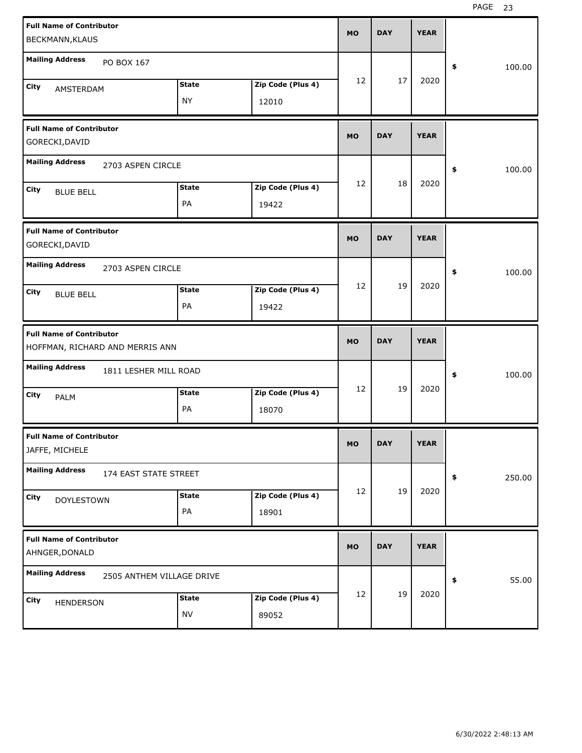| <b>Full Name of Contributor</b>                   |                                 |              |                   | <b>MO</b> | <b>DAY</b> |    | <b>YEAR</b> |              |
|---------------------------------------------------|---------------------------------|--------------|-------------------|-----------|------------|----|-------------|--------------|
| BECKMANN, KLAUS                                   |                                 |              |                   |           |            |    |             |              |
| <b>Mailing Address</b>                            | PO BOX 167                      |              |                   |           |            |    |             | \$<br>100.00 |
| City<br>AMSTERDAM                                 |                                 | <b>State</b> | Zip Code (Plus 4) | 12        |            | 17 | 2020        |              |
|                                                   |                                 | <b>NY</b>    | 12010             |           |            |    |             |              |
|                                                   |                                 |              |                   |           |            |    |             |              |
| <b>Full Name of Contributor</b>                   |                                 |              |                   | <b>MO</b> | <b>DAY</b> |    | <b>YEAR</b> |              |
| GORECKI, DAVID                                    |                                 |              |                   |           |            |    |             |              |
| <b>Mailing Address</b>                            | 2703 ASPEN CIRCLE               |              |                   |           |            |    |             | \$<br>100.00 |
| City<br><b>BLUE BELL</b>                          |                                 | <b>State</b> | Zip Code (Plus 4) | 12        |            | 18 | 2020        |              |
|                                                   |                                 | PA           | 19422             |           |            |    |             |              |
| <b>Full Name of Contributor</b>                   |                                 |              |                   |           |            |    |             |              |
| GORECKI, DAVID                                    |                                 |              |                   | <b>MO</b> | <b>DAY</b> |    | <b>YEAR</b> |              |
| <b>Mailing Address</b>                            | 2703 ASPEN CIRCLE               |              |                   |           |            |    |             |              |
|                                                   |                                 |              |                   | 12        |            | 19 | 2020        | \$<br>100.00 |
| City<br><b>BLUE BELL</b>                          |                                 | <b>State</b> | Zip Code (Plus 4) |           |            |    |             |              |
|                                                   |                                 | PA           | 19422             |           |            |    |             |              |
|                                                   |                                 |              |                   |           |            |    |             |              |
|                                                   |                                 |              |                   |           |            |    |             |              |
| <b>Full Name of Contributor</b>                   | HOFFMAN, RICHARD AND MERRIS ANN |              |                   | <b>MO</b> | <b>DAY</b> |    | <b>YEAR</b> |              |
|                                                   |                                 |              |                   |           |            |    |             |              |
| <b>Mailing Address</b>                            | 1811 LESHER MILL ROAD           |              |                   |           |            |    |             | \$<br>100.00 |
| City                                              |                                 | <b>State</b> | Zip Code (Plus 4) | 12        |            | 19 | 2020        |              |
| PALM                                              |                                 | PA           | 18070             |           |            |    |             |              |
|                                                   |                                 |              |                   |           |            |    |             |              |
| <b>Full Name of Contributor</b><br>JAFFE, MICHELE |                                 |              |                   | <b>MO</b> | <b>DAY</b> |    | <b>YEAR</b> |              |
| <b>Mailing Address</b>                            | 174 EAST STATE STREET           |              |                   |           |            |    |             | \$<br>250.00 |
|                                                   |                                 | <b>State</b> | Zip Code (Plus 4) | 12        |            | 19 | 2020        |              |
| <b>City</b><br><b>DOYLESTOWN</b>                  |                                 | PA           | 18901             |           |            |    |             |              |
|                                                   |                                 |              |                   |           |            |    |             |              |
| <b>Full Name of Contributor</b><br>AHNGER, DONALD |                                 |              |                   | <b>MO</b> | <b>DAY</b> |    | <b>YEAR</b> |              |
| <b>Mailing Address</b>                            | 2505 ANTHEM VILLAGE DRIVE       |              |                   |           |            |    |             | \$<br>55.00  |
|                                                   |                                 | <b>State</b> | Zip Code (Plus 4) | 12        |            | 19 | 2020        |              |
| City<br>HENDERSON                                 |                                 | <b>NV</b>    | 89052             |           |            |    |             |              |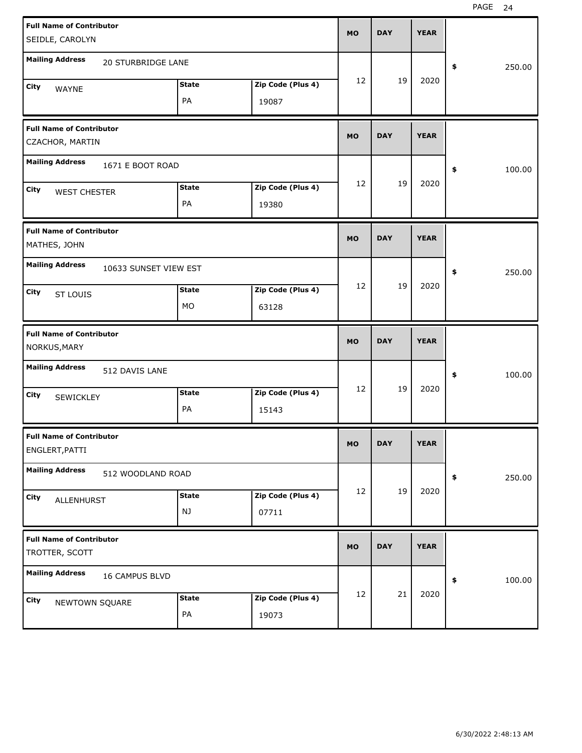| <b>Full Name of Contributor</b>                    |                           |              |                   | <b>MO</b> | <b>DAY</b> | <b>YEAR</b> |              |
|----------------------------------------------------|---------------------------|--------------|-------------------|-----------|------------|-------------|--------------|
| SEIDLE, CAROLYN                                    |                           |              |                   |           |            |             |              |
| <b>Mailing Address</b>                             | <b>20 STURBRIDGE LANE</b> |              |                   |           |            |             | \$<br>250.00 |
| City<br>WAYNE                                      |                           | <b>State</b> | Zip Code (Plus 4) | 12        | 19         | 2020        |              |
|                                                    |                           | PA           | 19087             |           |            |             |              |
| <b>Full Name of Contributor</b><br>CZACHOR, MARTIN |                           |              |                   | <b>MO</b> | <b>DAY</b> | <b>YEAR</b> |              |
| <b>Mailing Address</b>                             | 1671 E BOOT ROAD          |              |                   |           |            |             | \$<br>100.00 |
| City<br><b>WEST CHESTER</b>                        |                           | <b>State</b> | Zip Code (Plus 4) | 12        | 19         | 2020        |              |
|                                                    |                           | PA           | 19380             |           |            |             |              |
| <b>Full Name of Contributor</b><br>MATHES, JOHN    |                           |              |                   | <b>MO</b> | <b>DAY</b> | <b>YEAR</b> |              |
| <b>Mailing Address</b>                             | 10633 SUNSET VIEW EST     |              |                   |           |            |             | \$<br>250.00 |
| City<br><b>ST LOUIS</b>                            |                           | <b>State</b> | Zip Code (Plus 4) | 12        | 19         | 2020        |              |
|                                                    |                           | MO           | 63128             |           |            |             |              |
|                                                    |                           |              |                   |           |            |             |              |
| <b>Full Name of Contributor</b><br>NORKUS, MARY    |                           |              |                   | <b>MO</b> | <b>DAY</b> | <b>YEAR</b> |              |
| <b>Mailing Address</b>                             | 512 DAVIS LANE            |              |                   |           |            |             | \$<br>100.00 |
| City                                               |                           | <b>State</b> | Zip Code (Plus 4) | 12        | 19         | 2020        |              |
| SEWICKLEY                                          |                           | PA           | 15143             |           |            |             |              |
| <b>Full Name of Contributor</b><br>ENGLERT, PATTI  |                           |              |                   | <b>MO</b> | <b>DAY</b> | <b>YEAR</b> |              |
| <b>Mailing Address</b>                             | 512 WOODLAND ROAD         |              |                   |           |            |             | \$<br>250.00 |
| City                                               |                           | <b>State</b> | Zip Code (Plus 4) | 12        | 19         | 2020        |              |
| ALLENHURST                                         |                           | NJ           | 07711             |           |            |             |              |
| <b>Full Name of Contributor</b><br>TROTTER, SCOTT  |                           |              |                   | <b>MO</b> | <b>DAY</b> | <b>YEAR</b> |              |
| <b>Mailing Address</b>                             | 16 CAMPUS BLVD            |              |                   |           |            |             | \$<br>100.00 |
| City<br>NEWTOWN SQUARE                             |                           | <b>State</b> | Zip Code (Plus 4) | 12        | 21         | 2020        |              |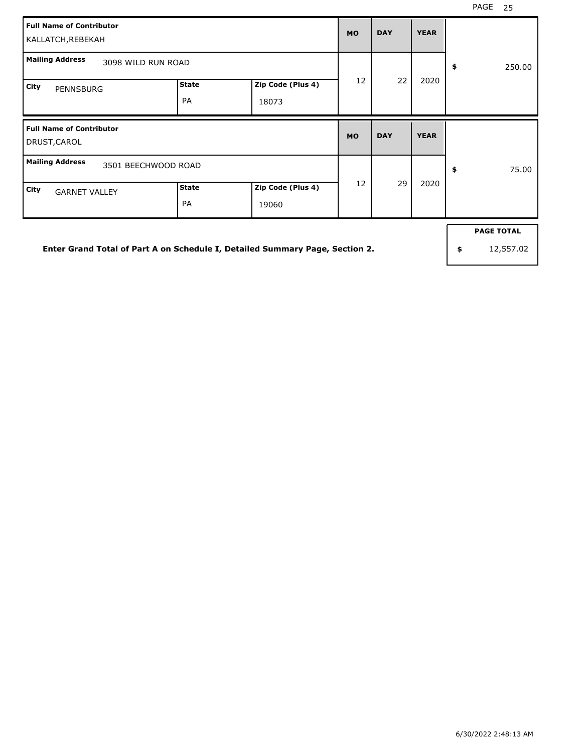| <b>Full Name of Contributor</b><br>KALLATCH, REBEKAH |                           | <b>MO</b>                  | <b>DAY</b> | <b>YEAR</b> |             |              |
|------------------------------------------------------|---------------------------|----------------------------|------------|-------------|-------------|--------------|
| <b>Mailing Address</b><br>3098 WILD RUN ROAD         |                           |                            |            |             |             | \$<br>250.00 |
| City<br><b>PENNSBURG</b>                             | <b>State</b><br><b>PA</b> | Zip Code (Plus 4)<br>18073 | 12         | 22          | 2020        |              |
|                                                      |                           |                            |            |             |             |              |
| <b>Full Name of Contributor</b><br>DRUST, CAROL      |                           |                            | <b>MO</b>  | <b>DAY</b>  | <b>YEAR</b> |              |
| <b>Mailing Address</b><br>3501 BEECHWOOD ROAD        |                           |                            | 12         | 29          | 2020        | 75.00<br>\$  |

**Enter Grand Total of Part A on Schedule I, Detailed Summary Page, Section 2.**

**PAGE TOTAL**

**\$** 12,557.02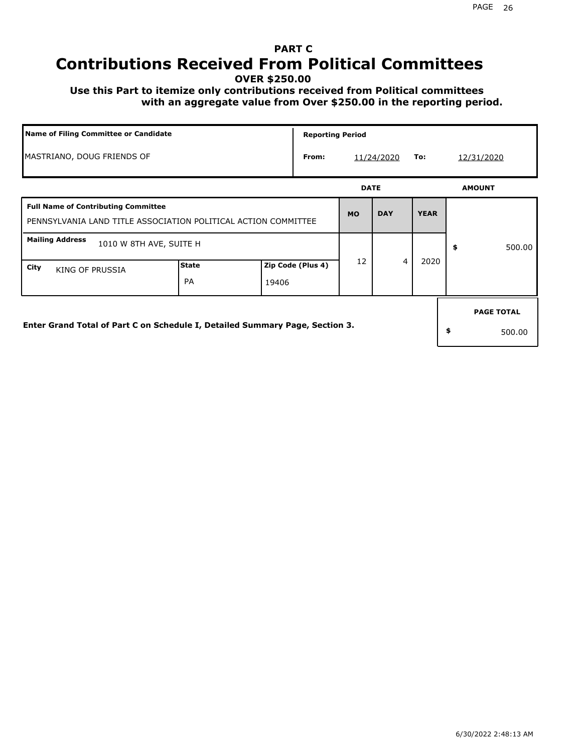## **PART C Contributions Received From Political Committees**

**OVER \$250.00**

 **Use this Part to itemize only contributions received from Political committees with an aggregate value from Over \$250.00 in the reporting period.**

| Name of Filing Committee or Candidate                                                                        |                    |       | <b>Reporting Period</b> |    |             |             |               |                   |  |
|--------------------------------------------------------------------------------------------------------------|--------------------|-------|-------------------------|----|-------------|-------------|---------------|-------------------|--|
| MASTRIANO, DOUG FRIENDS OF                                                                                   |                    |       | From:                   |    | 11/24/2020  | 12/31/2020  |               |                   |  |
|                                                                                                              |                    |       |                         |    | <b>DATE</b> |             | <b>AMOUNT</b> |                   |  |
| <b>Full Name of Contributing Committee</b><br>PENNSYLVANIA LAND TITLE ASSOCIATION POLITICAL ACTION COMMITTEE |                    |       |                         |    | <b>DAY</b>  | <b>YEAR</b> |               |                   |  |
| <b>Mailing Address</b><br>1010 W 8TH AVE, SUITE H                                                            |                    |       |                         |    |             |             | \$            | 500.00            |  |
| City<br><b>KING OF PRUSSIA</b>                                                                               | <b>State</b><br>PA | 19406 | Zip Code (Plus 4)       | 12 | 4           | 2020        |               |                   |  |
|                                                                                                              |                    |       |                         |    |             |             |               | <b>PAGE TOTAL</b> |  |
| Enter Grand Total of Part C on Schedule I, Detailed Summary Page, Section 3.                                 |                    |       |                         |    |             |             | \$            | 500.00            |  |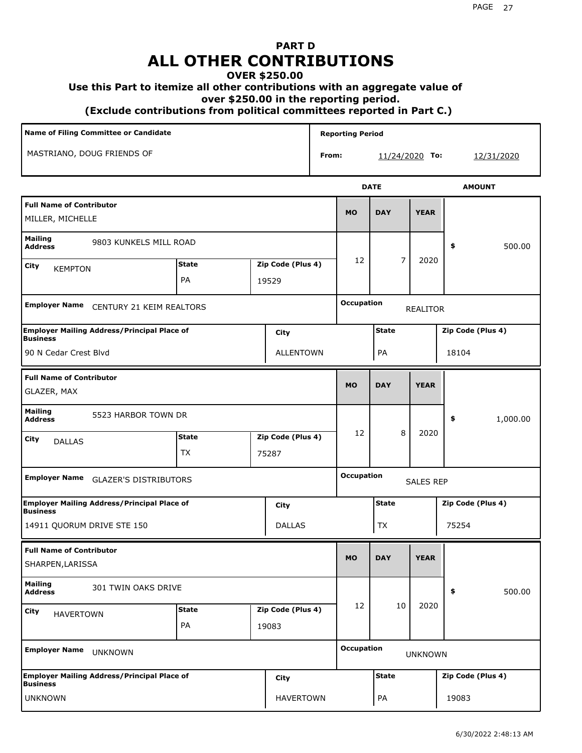## **PART D ALL OTHER CONTRIBUTIONS**

### **OVER \$250.00**

### **Use this Part to itemize all other contributions with an aggregate value of**

 **over \$250.00 in the reporting period.**

 **(Exclude contributions from political committees reported in Part C.)** 

| Name of Filing Committee or Candidate                                         |              |  |                   | <b>Reporting Period</b> |                   |                  |                   |                   |  |
|-------------------------------------------------------------------------------|--------------|--|-------------------|-------------------------|-------------------|------------------|-------------------|-------------------|--|
| MASTRIANO, DOUG FRIENDS OF                                                    |              |  |                   | From:                   |                   | $11/24/2020$ To: |                   | <u>12/31/2020</u> |  |
|                                                                               |              |  |                   |                         |                   | <b>DATE</b>      |                   | <b>AMOUNT</b>     |  |
| <b>Full Name of Contributor</b><br>MILLER, MICHELLE                           |              |  |                   |                         | <b>MO</b>         | <b>DAY</b>       | <b>YEAR</b>       |                   |  |
| Mailing<br>9803 KUNKELS MILL ROAD<br><b>Address</b>                           |              |  |                   |                         |                   |                  |                   | \$<br>500.00      |  |
| City<br><b>KEMPTON</b>                                                        | <b>State</b> |  | Zip Code (Plus 4) |                         | 12                | 7                | 2020              |                   |  |
|                                                                               | PA           |  | 19529             |                         |                   |                  |                   |                   |  |
| <b>Employer Name</b><br>CENTURY 21 KEIM REALTORS                              |              |  |                   | <b>Occupation</b>       |                   | <b>REALITOR</b>  |                   |                   |  |
| <b>Employer Mailing Address/Principal Place of</b><br>City<br><b>Business</b> |              |  |                   |                         | <b>State</b>      |                  | Zip Code (Plus 4) |                   |  |
| 90 N Cedar Crest Blvd<br><b>ALLENTOWN</b>                                     |              |  |                   |                         | PA                |                  | 18104             |                   |  |
| <b>Full Name of Contributor</b><br>GLAZER, MAX                                |              |  |                   |                         | <b>MO</b>         | <b>DAY</b>       | <b>YEAR</b>       |                   |  |
| <b>Mailing</b><br>5523 HARBOR TOWN DR<br><b>Address</b>                       |              |  |                   |                         |                   |                  |                   | \$<br>1,000.00    |  |
| City<br><b>DALLAS</b>                                                         | <b>State</b> |  | Zip Code (Plus 4) |                         | 12                | 8                | 2020              |                   |  |
|                                                                               | <b>TX</b>    |  | 75287             |                         |                   |                  |                   |                   |  |
| <b>Employer Name</b><br><b>GLAZER'S DISTRIBUTORS</b>                          |              |  |                   |                         | <b>Occupation</b> |                  | <b>SALES REP</b>  |                   |  |
| <b>Employer Mailing Address/Principal Place of</b><br><b>Business</b>         |              |  | City              |                         |                   | <b>State</b>     |                   | Zip Code (Plus 4) |  |
| 14911 QUORUM DRIVE STE 150                                                    |              |  | <b>DALLAS</b>     |                         |                   | TX               |                   | 75254             |  |
| <b>Full Name of Contributor</b><br>SHARPEN, LARISSA                           |              |  |                   |                         | <b>MO</b>         | <b>DAY</b>       | <b>YEAR</b>       |                   |  |
| <b>Mailing</b><br>301 TWIN OAKS DRIVE<br><b>Address</b>                       |              |  |                   |                         |                   |                  |                   | \$<br>500.00      |  |
| <b>State</b><br>Zip Code (Plus 4)<br>City<br><b>HAVERTOWN</b>                 |              |  |                   |                         | 12                | 10               | 2020              |                   |  |
|                                                                               | PA           |  | 19083             |                         |                   |                  |                   |                   |  |
| <b>Employer Name</b><br><b>UNKNOWN</b>                                        |              |  |                   | <b>Occupation</b>       |                   | <b>UNKNOWN</b>   |                   |                   |  |
| <b>Employer Mailing Address/Principal Place of</b><br><b>Business</b>         |              |  | City              |                         |                   | <b>State</b>     |                   | Zip Code (Plus 4) |  |
| <b>UNKNOWN</b>                                                                |              |  | <b>HAVERTOWN</b>  |                         |                   | PA               |                   | 19083             |  |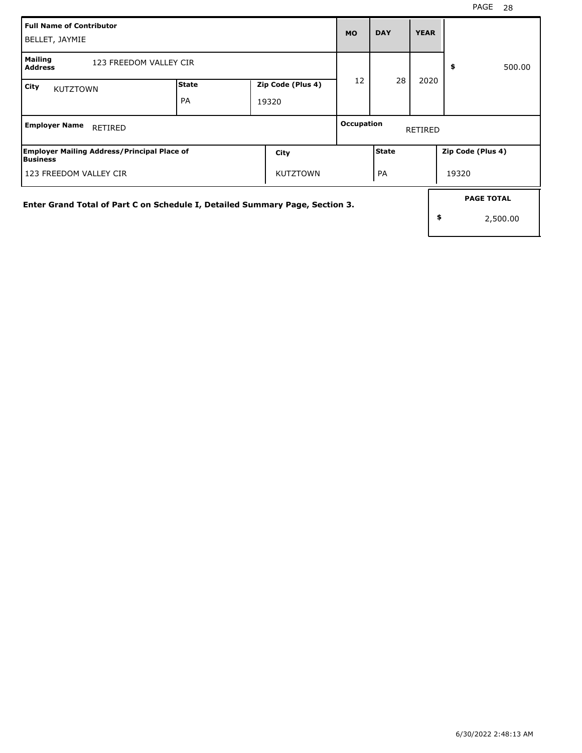| Full Name of Contributor<br>BELLET, JAYMIE                                   | <b>MO</b>   | <b>DAY</b>                 | <b>YEAR</b> |                                     |      |                                     |  |  |
|------------------------------------------------------------------------------|-------------|----------------------------|-------------|-------------------------------------|------|-------------------------------------|--|--|
| Mailing<br>123 FREEDOM VALLEY CIR<br><b>Address</b>                          |             |                            |             |                                     |      | \$<br>500.00                        |  |  |
| City<br><b>KUTZTOWN</b>                                                      | State<br>PA | Zip Code (Plus 4)<br>19320 | 28<br>12    |                                     | 2020 |                                     |  |  |
| <b>Employer Name</b><br>RETIRED                                              |             |                            |             | <b>Occupation</b><br><b>RETIRED</b> |      |                                     |  |  |
| <b>Employer Mailing Address/Principal Place of</b><br><b>Business</b>        |             | City                       |             | <b>State</b>                        |      | Zip Code (Plus 4)                   |  |  |
| l 123 FREEDOM VALLEY CIR                                                     |             | <b>KUTZTOWN</b>            |             | PA                                  |      | 19320                               |  |  |
| Enter Grand Total of Part C on Schedule I, Detailed Summary Page, Section 3. |             |                            |             |                                     |      | <b>PAGE TOTAL</b><br>\$<br>2,500.00 |  |  |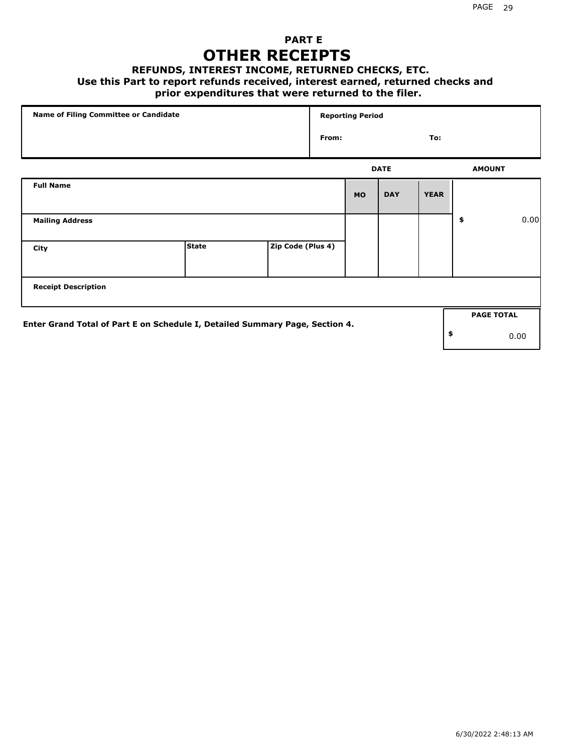### **PART E OTHER RECEIPTS**

#### **REFUNDS, INTEREST INCOME, RETURNED CHECKS, ETC.**

#### **Use this Part to report refunds received, interest earned, returned checks and**

### **prior expenditures that were returned to the filer.**

| Name of Filing Committee or Candidate                                        |              |                   | <b>Reporting Period</b> |           |             |             |    |                   |      |
|------------------------------------------------------------------------------|--------------|-------------------|-------------------------|-----------|-------------|-------------|----|-------------------|------|
|                                                                              |              |                   | From:                   |           |             | To:         |    |                   |      |
|                                                                              |              |                   |                         |           | <b>DATE</b> |             |    | <b>AMOUNT</b>     |      |
| <b>Full Name</b>                                                             |              |                   |                         | <b>MO</b> | <b>DAY</b>  | <b>YEAR</b> |    |                   |      |
| <b>Mailing Address</b>                                                       |              |                   |                         |           |             |             | \$ |                   | 0.00 |
| City                                                                         | <b>State</b> | Zip Code (Plus 4) |                         |           |             |             |    |                   |      |
| <b>Receipt Description</b>                                                   |              |                   |                         |           |             |             |    |                   |      |
| Enter Grand Total of Part E on Schedule I, Detailed Summary Page, Section 4. |              |                   |                         |           |             |             |    | <b>PAGE TOTAL</b> |      |
|                                                                              |              |                   |                         |           |             |             | \$ | 0.00              |      |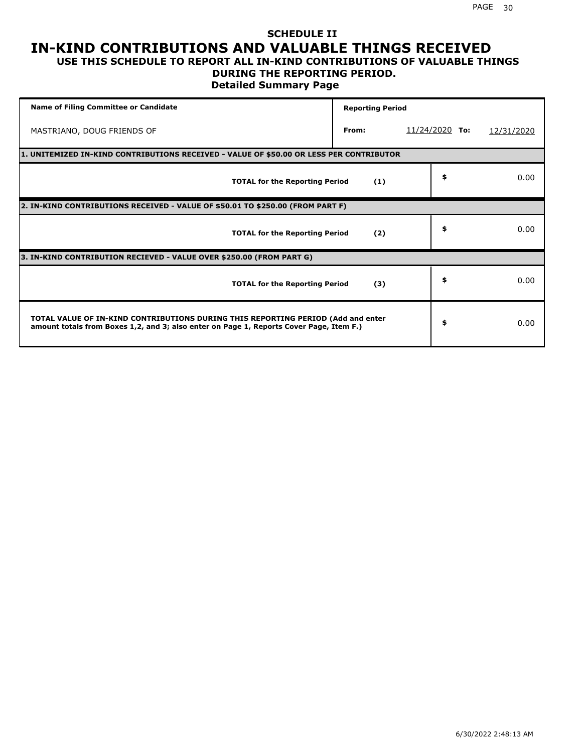### **SCHEDULE II IN-KIND CONTRIBUTIONS AND VALUABLE THINGS RECEIVED USE THIS SCHEDULE TO REPORT ALL IN-KIND CONTRIBUTIONS OF VALUABLE THINGS**

## **DURING THE REPORTING PERIOD.**

**Detailed Summary Page**

| <b>Name of Filing Committee or Candidate</b>                                                                                                                                | <b>Reporting Period</b> |                  |            |  |  |  |  |  |  |  |
|-----------------------------------------------------------------------------------------------------------------------------------------------------------------------------|-------------------------|------------------|------------|--|--|--|--|--|--|--|
| MASTRIANO, DOUG FRIENDS OF                                                                                                                                                  | From:                   | $11/24/2020$ To: | 12/31/2020 |  |  |  |  |  |  |  |
| 1. UNITEMIZED IN-KIND CONTRIBUTIONS RECEIVED - VALUE OF \$50.00 OR LESS PER CONTRIBUTOR                                                                                     |                         |                  |            |  |  |  |  |  |  |  |
| <b>TOTAL for the Reporting Period</b>                                                                                                                                       | (1)                     | \$               | 0.00       |  |  |  |  |  |  |  |
| 2. IN-KIND CONTRIBUTIONS RECEIVED - VALUE OF \$50.01 TO \$250.00 (FROM PART F)                                                                                              |                         |                  |            |  |  |  |  |  |  |  |
| <b>TOTAL for the Reporting Period</b>                                                                                                                                       | (2)                     | \$               | 0.00       |  |  |  |  |  |  |  |
| 3. IN-KIND CONTRIBUTION RECIEVED - VALUE OVER \$250.00 (FROM PART G)                                                                                                        |                         |                  |            |  |  |  |  |  |  |  |
| <b>TOTAL for the Reporting Period</b>                                                                                                                                       | (3)                     | \$               | 0.00       |  |  |  |  |  |  |  |
| TOTAL VALUE OF IN-KIND CONTRIBUTIONS DURING THIS REPORTING PERIOD (Add and enter<br>amount totals from Boxes 1,2, and 3; also enter on Page 1, Reports Cover Page, Item F.) |                         | \$               | 0.00       |  |  |  |  |  |  |  |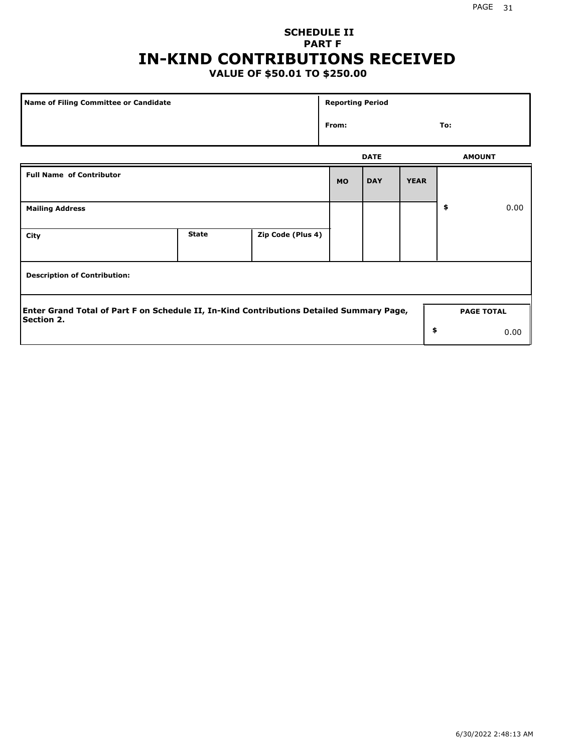## **SCHEDULE II PART F IN-KIND CONTRIBUTIONS RECEIVED**

## **VALUE OF \$50.01 TO \$250.00**

| Name of Filing Committee or Candidate                                                                         |              |                   |  | <b>Reporting Period</b> |             |                   |      |  |  |
|---------------------------------------------------------------------------------------------------------------|--------------|-------------------|--|-------------------------|-------------|-------------------|------|--|--|
|                                                                                                               |              |                   |  |                         |             | To:               |      |  |  |
|                                                                                                               |              |                   |  | <b>DATE</b>             |             | <b>AMOUNT</b>     |      |  |  |
| <b>Full Name of Contributor</b>                                                                               |              |                   |  | <b>DAY</b>              | <b>YEAR</b> |                   |      |  |  |
| <b>Mailing Address</b>                                                                                        |              |                   |  |                         |             | \$                | 0.00 |  |  |
| City                                                                                                          | <b>State</b> | Zip Code (Plus 4) |  |                         |             |                   |      |  |  |
| <b>Description of Contribution:</b>                                                                           |              |                   |  |                         |             |                   |      |  |  |
| Enter Grand Total of Part F on Schedule II, In-Kind Contributions Detailed Summary Page,<br><b>Section 2.</b> |              |                   |  |                         |             | <b>PAGE TOTAL</b> |      |  |  |
|                                                                                                               |              |                   |  |                         | \$          |                   | 0.00 |  |  |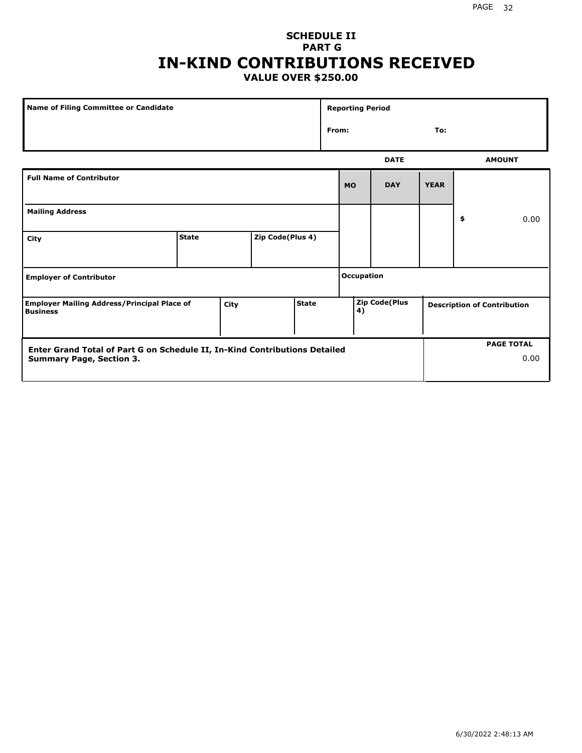### **SCHEDULE II PART G IN-KIND CONTRIBUTIONS RECEIVED VALUE OVER \$250.00**

|                                                                                               | Name of Filing Committee or Candidate |  |                  | <b>Reporting Period</b> |                            |              |                                    |             |               |      |
|-----------------------------------------------------------------------------------------------|---------------------------------------|--|------------------|-------------------------|----------------------------|--------------|------------------------------------|-------------|---------------|------|
|                                                                                               |                                       |  |                  |                         |                            | From:<br>To: |                                    |             |               |      |
|                                                                                               |                                       |  |                  |                         | <b>DATE</b>                |              |                                    |             | <b>AMOUNT</b> |      |
| <b>Full Name of Contributor</b>                                                               |                                       |  |                  |                         |                            | <b>MO</b>    | <b>DAY</b>                         | <b>YEAR</b> |               |      |
| <b>Mailing Address</b>                                                                        |                                       |  |                  |                         |                            |              |                                    |             | \$            | 0.00 |
| City                                                                                          | <b>State</b>                          |  | Zip Code(Plus 4) |                         |                            |              |                                    |             |               |      |
| <b>Employer of Contributor</b>                                                                |                                       |  |                  | <b>Occupation</b>       |                            |              |                                    |             |               |      |
| <b>State</b><br><b>Employer Mailing Address/Principal Place of</b><br>City<br><b>Business</b> |                                       |  |                  |                         | <b>Zip Code(Plus</b><br>4) |              | <b>Description of Contribution</b> |             |               |      |

| Enter Grand Total of Part G on Schedule II, In-Kind Contributions Detailed |  | <b>PAGE TOTAL</b> |
|----------------------------------------------------------------------------|--|-------------------|
| Summary Page, Section 3.                                                   |  | 0.00              |
|                                                                            |  |                   |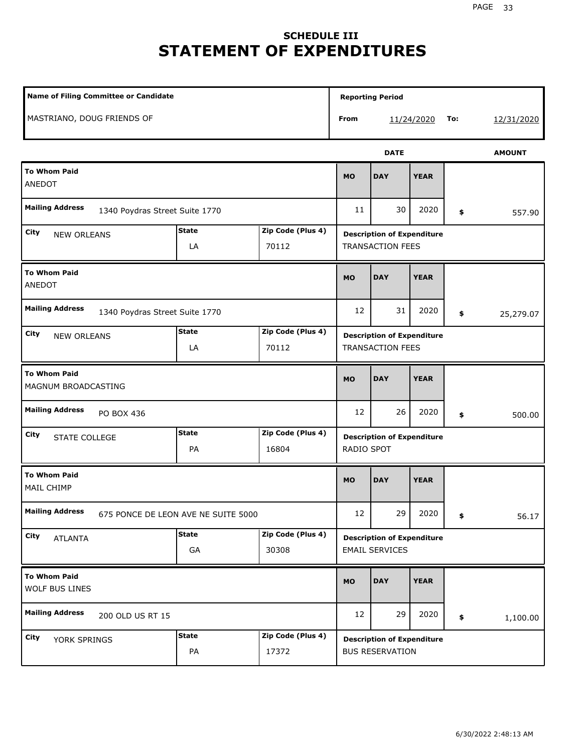## **SCHEDULE III STATEMENT OF EXPENDITURES**

| Name of Filing Committee or Candidate                    |                                     |                                                              |                                                 |                                                              |               |     |            |
|----------------------------------------------------------|-------------------------------------|--------------------------------------------------------------|-------------------------------------------------|--------------------------------------------------------------|---------------|-----|------------|
| MASTRIANO, DOUG FRIENDS OF                               |                                     |                                                              | From                                            |                                                              | 11/24/2020    | To: | 12/31/2020 |
|                                                          |                                     |                                                              |                                                 | <b>DATE</b>                                                  | <b>AMOUNT</b> |     |            |
| <b>To Whom Paid</b><br>ANEDOT                            |                                     |                                                              | <b>MO</b>                                       | <b>DAY</b>                                                   | <b>YEAR</b>   |     |            |
| <b>Mailing Address</b><br>1340 Poydras Street Suite 1770 |                                     |                                                              | 11                                              | 30                                                           | 2020          | \$  | 557.90     |
| City<br><b>NEW ORLEANS</b>                               |                                     | <b>Description of Expenditure</b><br><b>TRANSACTION FEES</b> |                                                 |                                                              |               |     |            |
| <b>To Whom Paid</b><br>ANEDOT                            | <b>MO</b>                           | <b>DAY</b>                                                   | <b>YEAR</b>                                     |                                                              |               |     |            |
| <b>Mailing Address</b><br>1340 Poydras Street Suite 1770 | 12                                  | 31                                                           | 2020                                            | \$                                                           | 25,279.07     |     |            |
| City<br><b>NEW ORLEANS</b>                               | <b>State</b><br>LA                  | Zip Code (Plus 4)<br>70112                                   |                                                 | <b>Description of Expenditure</b><br><b>TRANSACTION FEES</b> |               |     |            |
| <b>To Whom Paid</b><br>MAGNUM BROADCASTING               | <b>MO</b>                           | <b>DAY</b>                                                   | <b>YEAR</b>                                     |                                                              |               |     |            |
| <b>Mailing Address</b><br>PO BOX 436                     |                                     |                                                              | 12                                              | 26                                                           | 2020          | \$  | 500.00     |
| City<br>STATE COLLEGE                                    | <b>State</b><br>PA                  | Zip Code (Plus 4)<br>16804                                   | <b>Description of Expenditure</b><br>RADIO SPOT |                                                              |               |     |            |
| <b>To Whom Paid</b><br>MAIL CHIMP                        |                                     |                                                              | <b>MO</b>                                       | <b>DAY</b>                                                   | <b>YEAR</b>   |     |            |
| <b>Mailing Address</b>                                   | 675 PONCE DE LEON AVE NE SUITE 5000 |                                                              | 12                                              | 29                                                           | 2020          | \$  | 56.17      |
| City<br><b>ATLANTA</b>                                   | <b>State</b><br>GA                  | Zip Code (Plus 4)<br>30308                                   |                                                 | <b>Description of Expenditure</b><br><b>EMAIL SERVICES</b>   |               |     |            |
| <b>To Whom Paid</b><br>WOLF BUS LINES                    |                                     |                                                              |                                                 | <b>DAY</b>                                                   | <b>YEAR</b>   |     |            |
| <b>Mailing Address</b><br>200 OLD US RT 15               |                                     |                                                              | 12                                              | 29                                                           | 2020          | \$  | 1,100.00   |
| City<br>YORK SPRINGS                                     | <b>State</b><br>PA                  | Zip Code (Plus 4)<br>17372                                   |                                                 | <b>Description of Expenditure</b><br><b>BUS RESERVATION</b>  |               |     |            |